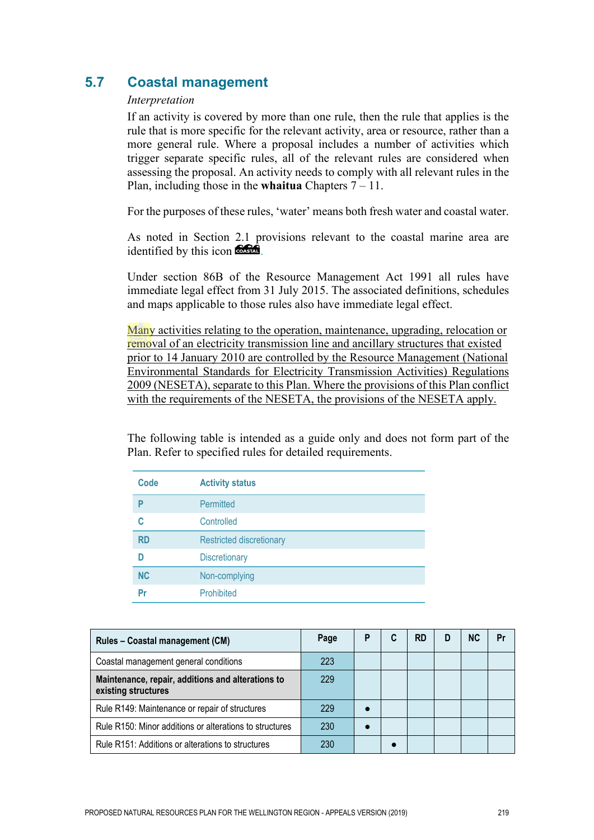## **5.7 Coastal management**

#### *Interpretation*

If an activity is covered by more than one rule, then the rule that applies is the rule that is more specific for the relevant activity, area or resource, rather than a more general rule. Where a proposal includes a number of activities which trigger separate specific rules, all of the relevant rules are considered when assessing the proposal. An activity needs to comply with all relevant rules in the Plan, including those in the **whaitua** Chapters 7 – 11.

For the purposes of these rules, 'water' means both fresh water and coastal water.

As noted in Section 2.1 provisions relevant to the coastal marine area are identified by this icon **the state**.

Under section 86B of the Resource Management Act 1991 all rules have immediate legal effect from 31 July 2015. The associated definitions, schedules and maps applicable to those rules also have immediate legal effect.

Many activities relating to the operation, maintenance, upgrading, relocation or removal of an electricity transmission line and ancillary structures that existed prior to 14 January 2010 are controlled by the Resource Management (National Environmental Standards for Electricity Transmission Activities) Regulations 2009 (NESETA), separate to this Plan. Where the provisions of this Plan conflict with the requirements of the NESETA, the provisions of the NESETA apply.

The following table is intended as a guide only and does not form part of the Plan. Refer to specified rules for detailed requirements.

| Code      | <b>Activity status</b>          |
|-----------|---------------------------------|
| P         | Permitted                       |
| C         | Controlled                      |
| <b>RD</b> | <b>Restricted discretionary</b> |
| D         | <b>Discretionary</b>            |
| <b>NC</b> | Non-complying                   |
| Pr        | <b>Prohibited</b>               |

| Rules - Coastal management (CM)                                          | Page | P | <b>RD</b> | D | <b>NC</b> | Pr |
|--------------------------------------------------------------------------|------|---|-----------|---|-----------|----|
| Coastal management general conditions                                    | 223  |   |           |   |           |    |
| Maintenance, repair, additions and alterations to<br>existing structures | 229  |   |           |   |           |    |
| Rule R149: Maintenance or repair of structures                           | 229  |   |           |   |           |    |
| Rule R150: Minor additions or alterations to structures                  | 230  |   |           |   |           |    |
| Rule R151: Additions or alterations to structures                        | 230  |   |           |   |           |    |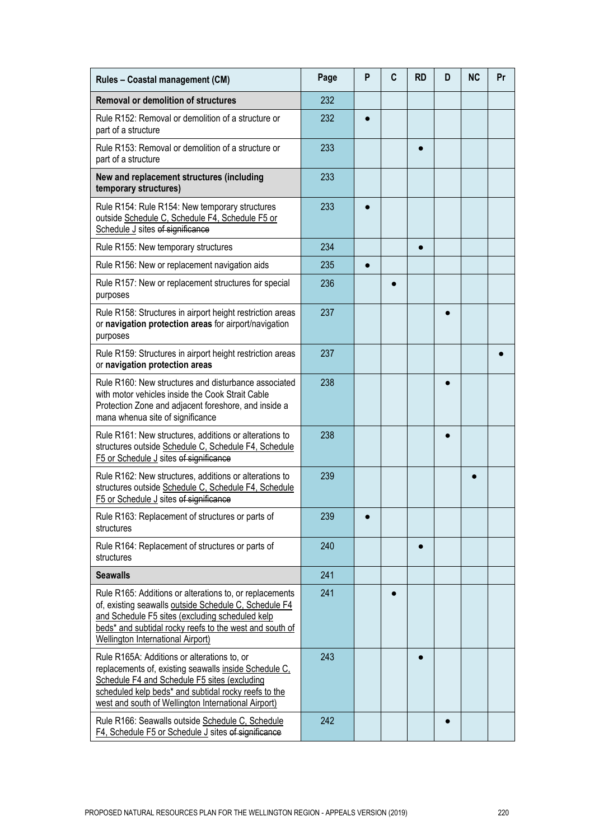| Rules - Coastal management (CM)                                                                                                                                                                                                                                     | Page | P | C | <b>RD</b> | D | <b>NC</b> | Pr |
|---------------------------------------------------------------------------------------------------------------------------------------------------------------------------------------------------------------------------------------------------------------------|------|---|---|-----------|---|-----------|----|
| <b>Removal or demolition of structures</b>                                                                                                                                                                                                                          | 232  |   |   |           |   |           |    |
| Rule R152: Removal or demolition of a structure or<br>part of a structure                                                                                                                                                                                           | 232  |   |   |           |   |           |    |
| Rule R153: Removal or demolition of a structure or<br>part of a structure                                                                                                                                                                                           | 233  |   |   |           |   |           |    |
| New and replacement structures (including<br>temporary structures)                                                                                                                                                                                                  | 233  |   |   |           |   |           |    |
| Rule R154: Rule R154: New temporary structures<br>outside Schedule C, Schedule F4, Schedule F5 or<br>Schedule J sites of significance                                                                                                                               | 233  |   |   |           |   |           |    |
| Rule R155: New temporary structures                                                                                                                                                                                                                                 | 234  |   |   |           |   |           |    |
| Rule R156: New or replacement navigation aids                                                                                                                                                                                                                       | 235  |   |   |           |   |           |    |
| Rule R157: New or replacement structures for special<br>purposes                                                                                                                                                                                                    | 236  |   |   |           |   |           |    |
| Rule R158: Structures in airport height restriction areas<br>or navigation protection areas for airport/navigation<br>purposes                                                                                                                                      | 237  |   |   |           |   |           |    |
| Rule R159: Structures in airport height restriction areas<br>or navigation protection areas                                                                                                                                                                         | 237  |   |   |           |   |           |    |
| Rule R160: New structures and disturbance associated<br>with motor vehicles inside the Cook Strait Cable<br>Protection Zone and adjacent foreshore, and inside a<br>mana whenua site of significance                                                                | 238  |   |   |           |   |           |    |
| Rule R161: New structures, additions or alterations to<br>structures outside Schedule C, Schedule F4, Schedule<br>F5 or Schedule J sites of significance                                                                                                            | 238  |   |   |           |   |           |    |
| Rule R162: New structures, additions or alterations to<br>structures outside Schedule C, Schedule F4, Schedule<br>F5 or Schedule J sites of significance                                                                                                            | 239  |   |   |           |   |           |    |
| Rule R163: Replacement of structures or parts of<br>structures                                                                                                                                                                                                      | 239  |   |   |           |   |           |    |
| Rule R164: Replacement of structures or parts of<br>structures                                                                                                                                                                                                      | 240  |   |   |           |   |           |    |
| <b>Seawalls</b>                                                                                                                                                                                                                                                     | 241  |   |   |           |   |           |    |
| Rule R165: Additions or alterations to, or replacements<br>of, existing seawalls outside Schedule C, Schedule F4<br>and Schedule F5 sites (excluding scheduled kelp<br>beds* and subtidal rocky reefs to the west and south of<br>Wellington International Airport) | 241  |   |   |           |   |           |    |
| Rule R165A: Additions or alterations to, or<br>replacements of, existing seawalls inside Schedule C,<br>Schedule F4 and Schedule F5 sites (excluding<br>scheduled kelp beds* and subtidal rocky reefs to the<br>west and south of Wellington International Airport) | 243  |   |   |           |   |           |    |
| Rule R166: Seawalls outside Schedule C, Schedule<br>F4, Schedule F5 or Schedule J sites of significance                                                                                                                                                             | 242  |   |   |           |   |           |    |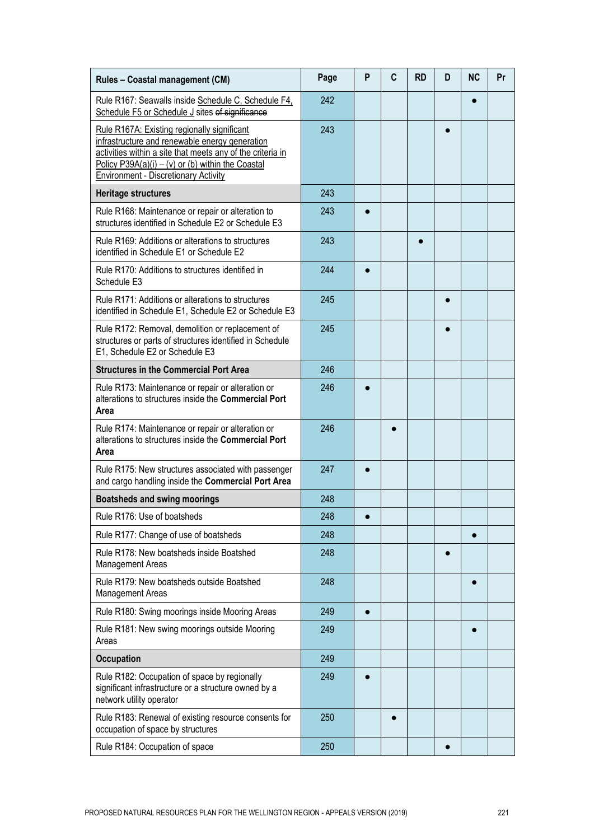| Rules - Coastal management (CM)                                                                                                                                                                                                                                 | Page | P         | C | <b>RD</b> | D | <b>NC</b> | Pr |
|-----------------------------------------------------------------------------------------------------------------------------------------------------------------------------------------------------------------------------------------------------------------|------|-----------|---|-----------|---|-----------|----|
| Rule R167: Seawalls inside Schedule C, Schedule F4,<br>Schedule F5 or Schedule J sites of significance                                                                                                                                                          | 242  |           |   |           |   |           |    |
| Rule R167A: Existing regionally significant<br>infrastructure and renewable energy generation<br>activities within a site that meets any of the criteria in<br>Policy P39A(a)(i) – (v) or (b) within the Coastal<br><b>Environment - Discretionary Activity</b> | 243  |           |   |           |   |           |    |
| <b>Heritage structures</b>                                                                                                                                                                                                                                      | 243  |           |   |           |   |           |    |
| Rule R168: Maintenance or repair or alteration to<br>structures identified in Schedule E2 or Schedule E3                                                                                                                                                        | 243  |           |   |           |   |           |    |
| Rule R169: Additions or alterations to structures<br>identified in Schedule E1 or Schedule E2                                                                                                                                                                   | 243  |           |   |           |   |           |    |
| Rule R170: Additions to structures identified in<br>Schedule E3                                                                                                                                                                                                 | 244  |           |   |           |   |           |    |
| Rule R171: Additions or alterations to structures<br>identified in Schedule E1, Schedule E2 or Schedule E3                                                                                                                                                      | 245  |           |   |           |   |           |    |
| Rule R172: Removal, demolition or replacement of<br>structures or parts of structures identified in Schedule<br>E1, Schedule E2 or Schedule E3                                                                                                                  | 245  |           |   |           |   |           |    |
| <b>Structures in the Commercial Port Area</b>                                                                                                                                                                                                                   | 246  |           |   |           |   |           |    |
| Rule R173: Maintenance or repair or alteration or<br>alterations to structures inside the Commercial Port<br>Area                                                                                                                                               | 246  |           |   |           |   |           |    |
| Rule R174: Maintenance or repair or alteration or<br>alterations to structures inside the Commercial Port<br>Area                                                                                                                                               | 246  |           |   |           |   |           |    |
| Rule R175: New structures associated with passenger<br>and cargo handling inside the Commercial Port Area                                                                                                                                                       | 247  |           |   |           |   |           |    |
| <b>Boatsheds and swing moorings</b>                                                                                                                                                                                                                             | 248  |           |   |           |   |           |    |
| Rule R176: Use of boatsheds                                                                                                                                                                                                                                     | 248  |           |   |           |   |           |    |
| Rule R177: Change of use of boatsheds                                                                                                                                                                                                                           | 248  |           |   |           |   | $\bullet$ |    |
| Rule R178: New boatsheds inside Boatshed<br>Management Areas                                                                                                                                                                                                    | 248  |           |   |           |   |           |    |
| Rule R179: New boatsheds outside Boatshed<br>Management Areas                                                                                                                                                                                                   | 248  |           |   |           |   | $\bullet$ |    |
| Rule R180: Swing moorings inside Mooring Areas                                                                                                                                                                                                                  | 249  | $\bullet$ |   |           |   |           |    |
| Rule R181: New swing moorings outside Mooring<br>Areas                                                                                                                                                                                                          | 249  |           |   |           |   | ●         |    |
| <b>Occupation</b>                                                                                                                                                                                                                                               | 249  |           |   |           |   |           |    |
| Rule R182: Occupation of space by regionally<br>significant infrastructure or a structure owned by a<br>network utility operator                                                                                                                                | 249  |           |   |           |   |           |    |
| Rule R183: Renewal of existing resource consents for<br>occupation of space by structures                                                                                                                                                                       | 250  |           | 0 |           |   |           |    |
| Rule R184: Occupation of space                                                                                                                                                                                                                                  | 250  |           |   |           |   |           |    |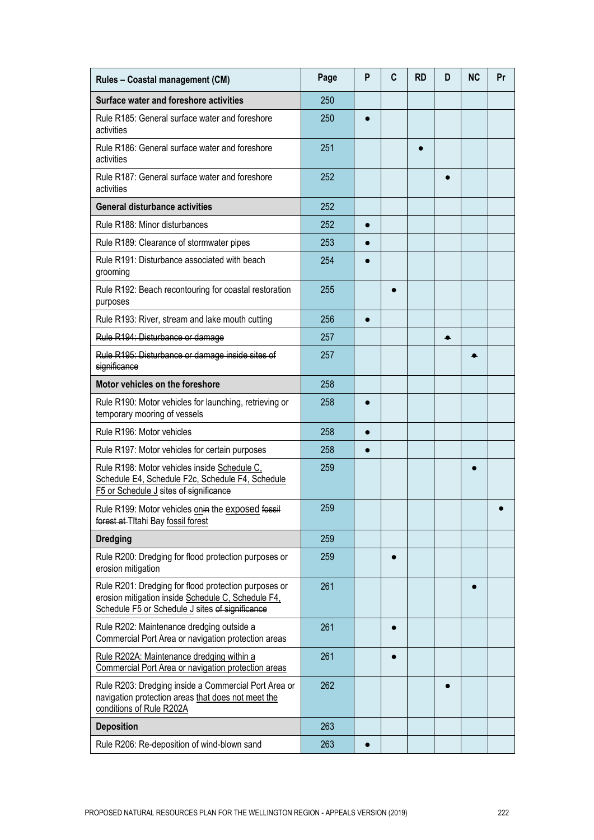| Rules - Coastal management (CM)                                                                                                                               | Page | P         | C         | <b>RD</b> | D | <b>NC</b> | Pr |
|---------------------------------------------------------------------------------------------------------------------------------------------------------------|------|-----------|-----------|-----------|---|-----------|----|
| Surface water and foreshore activities                                                                                                                        | 250  |           |           |           |   |           |    |
| Rule R185: General surface water and foreshore<br>activities                                                                                                  | 250  |           |           |           |   |           |    |
| Rule R186: General surface water and foreshore<br>activities                                                                                                  | 251  |           |           |           |   |           |    |
| Rule R187: General surface water and foreshore<br>activities                                                                                                  | 252  |           |           |           |   |           |    |
| <b>General disturbance activities</b>                                                                                                                         | 252  |           |           |           |   |           |    |
| Rule R188: Minor disturbances                                                                                                                                 | 252  | $\bullet$ |           |           |   |           |    |
| Rule R189: Clearance of stormwater pipes                                                                                                                      | 253  |           |           |           |   |           |    |
| Rule R191: Disturbance associated with beach<br>grooming                                                                                                      | 254  |           |           |           |   |           |    |
| Rule R192: Beach recontouring for coastal restoration<br>purposes                                                                                             | 255  |           |           |           |   |           |    |
| Rule R193: River, stream and lake mouth cutting                                                                                                               | 256  |           |           |           |   |           |    |
| Rule R194: Disturbance or damage                                                                                                                              | 257  |           |           |           |   |           |    |
| Rule R195: Disturbance or damage inside sites of<br>significance                                                                                              | 257  |           |           |           |   |           |    |
| Motor vehicles on the foreshore                                                                                                                               | 258  |           |           |           |   |           |    |
| Rule R190: Motor vehicles for launching, retrieving or<br>temporary mooring of vessels                                                                        | 258  |           |           |           |   |           |    |
| Rule R196: Motor vehicles                                                                                                                                     | 258  |           |           |           |   |           |    |
| Rule R197: Motor vehicles for certain purposes                                                                                                                | 258  |           |           |           |   |           |    |
| Rule R198: Motor vehicles inside Schedule C,<br>Schedule E4, Schedule F2c, Schedule F4, Schedule<br>F5 or Schedule J sites of significance                    | 259  |           |           |           |   |           |    |
| Rule R199: Motor vehicles onin the exposed fossil<br>forest at Titahi Bay fossil forest                                                                       | 259  |           |           |           |   |           |    |
| <b>Dredging</b>                                                                                                                                               | 259  |           |           |           |   |           |    |
| Rule R200: Dredging for flood protection purposes or<br>erosion mitigation                                                                                    | 259  |           | $\bullet$ |           |   |           |    |
| Rule R201: Dredging for flood protection purposes or<br>erosion mitigation inside Schedule C, Schedule F4,<br>Schedule F5 or Schedule J sites of significance | 261  |           |           |           |   | ●         |    |
| Rule R202: Maintenance dredging outside a<br>Commercial Port Area or navigation protection areas                                                              | 261  |           | $\bullet$ |           |   |           |    |
| Rule R202A: Maintenance dredging within a<br>Commercial Port Area or navigation protection areas                                                              | 261  |           | $\bullet$ |           |   |           |    |
| Rule R203: Dredging inside a Commercial Port Area or<br>navigation protection areas that does not meet the<br>conditions of Rule R202A                        | 262  |           |           |           |   |           |    |
| <b>Deposition</b>                                                                                                                                             | 263  |           |           |           |   |           |    |
| Rule R206: Re-deposition of wind-blown sand                                                                                                                   | 263  |           |           |           |   |           |    |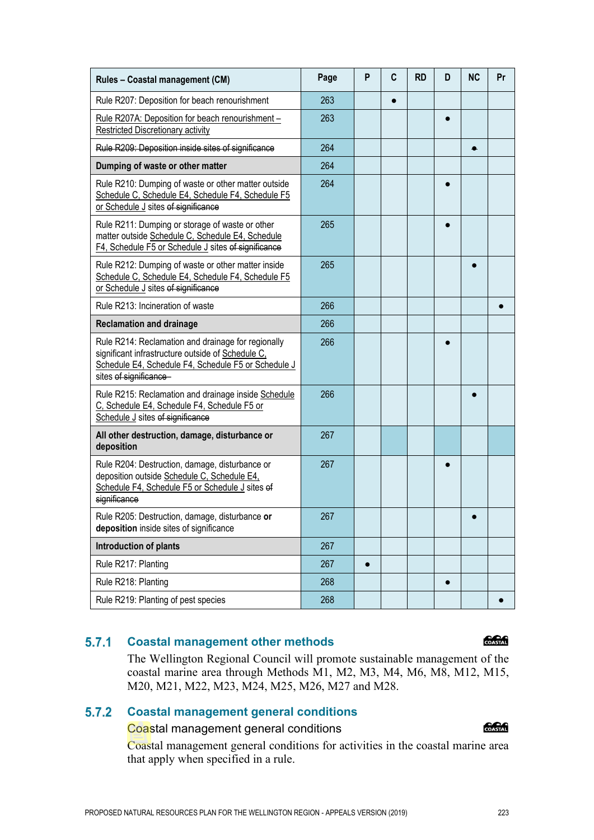| Rule R207: Deposition for beach renourishment                                                                                                                                            | 263 | $\bullet$ |  |  |
|------------------------------------------------------------------------------------------------------------------------------------------------------------------------------------------|-----|-----------|--|--|
| Rule R207A: Deposition for beach renourishment -<br><b>Restricted Discretionary activity</b>                                                                                             | 263 |           |  |  |
| Rule R209: Deposition inside sites of significance                                                                                                                                       | 264 |           |  |  |
| Dumping of waste or other matter                                                                                                                                                         | 264 |           |  |  |
| Rule R210: Dumping of waste or other matter outside<br>Schedule C, Schedule E4, Schedule F4, Schedule F5<br>or Schedule J sites of significance                                          | 264 |           |  |  |
| Rule R211: Dumping or storage of waste or other<br>matter outside Schedule C, Schedule E4, Schedule<br>F4, Schedule F5 or Schedule J sites of significance                               | 265 |           |  |  |
| Rule R212: Dumping of waste or other matter inside<br>Schedule C, Schedule E4, Schedule F4, Schedule F5<br>or Schedule J sites of significance                                           | 265 |           |  |  |
| Rule R213: Incineration of waste                                                                                                                                                         | 266 |           |  |  |
| <b>Reclamation and drainage</b>                                                                                                                                                          | 266 |           |  |  |
| Rule R214: Reclamation and drainage for regionally<br>significant infrastructure outside of Schedule C,<br>Schedule E4, Schedule F4, Schedule F5 or Schedule J<br>sites of significance- | 266 |           |  |  |
| Rule R215: Reclamation and drainage inside Schedule<br>C, Schedule E4, Schedule F4, Schedule F5 or<br>Schedule J sites of significance                                                   | 266 |           |  |  |
| All other destruction, damage, disturbance or<br>deposition                                                                                                                              | 267 |           |  |  |
| Rule R204: Destruction, damage, disturbance or<br>deposition outside Schedule C, Schedule E4,<br>Schedule F4, Schedule F5 or Schedule J sites of<br>significance                         | 267 |           |  |  |
| Rule R205: Destruction, damage, disturbance or<br>deposition inside sites of significance                                                                                                | 267 |           |  |  |
| <b>Introduction of plants</b>                                                                                                                                                            | 267 |           |  |  |
| Rule R217: Planting                                                                                                                                                                      | 267 |           |  |  |
| Rule R218: Planting                                                                                                                                                                      | 268 |           |  |  |
| Rule R219: Planting of pest species                                                                                                                                                      | 268 |           |  |  |

Rules – Coastal management (CM) **Page P** C RD D NC Pr

#### $5.7.1$ **Coastal management other methods**

The Wellington Regional Council will promote sustainable management of the coastal marine area through Methods M1, M2, M3, M4, M6, M8, M12, M15, M20, M21, M22, M23, M24, M25, M26, M27 and M28.

#### $5.7.2$ **Coastal management general conditions**

Coastal management general conditions for activities in the coastal marine area

# **COASTAN**

COASTAL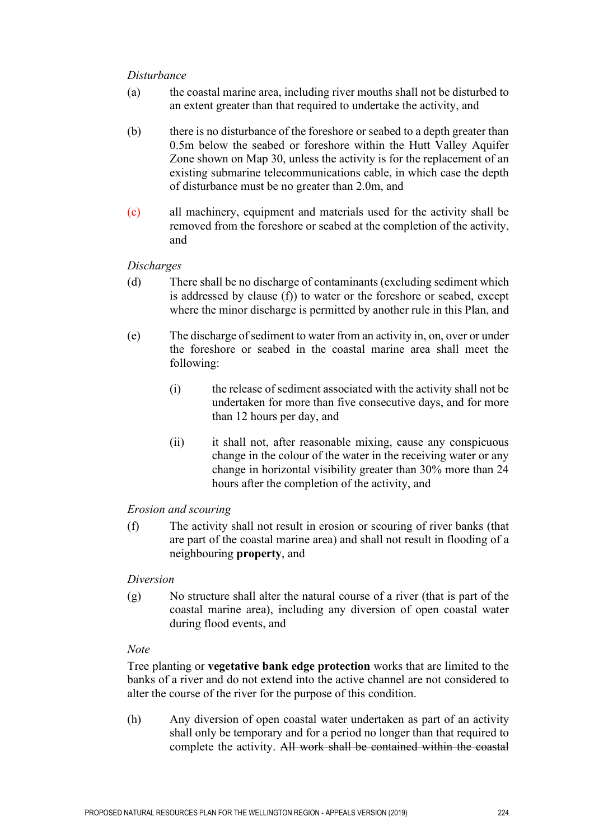#### *Disturbance*

- (a) the coastal marine area, including river mouths shall not be disturbed to an extent greater than that required to undertake the activity, and
- (b) there is no disturbance of the foreshore or seabed to a depth greater than 0.5m below the seabed or foreshore within the Hutt Valley Aquifer Zone shown on Map 30, unless the activity is for the replacement of an existing submarine telecommunications cable, in which case the depth of disturbance must be no greater than 2.0m, and
- (c) all machinery, equipment and materials used for the activity shall be removed from the foreshore or seabed at the completion of the activity, and

#### *Discharges*

- (d) There shall be no discharge of contaminants (excluding sediment which is addressed by clause (f)) to water or the foreshore or seabed, except where the minor discharge is permitted by another rule in this Plan, and
- (e) The discharge of sediment to water from an activity in, on, over or under the foreshore or seabed in the coastal marine area shall meet the following:
	- (i) the release of sediment associated with the activity shall not be undertaken for more than five consecutive days, and for more than 12 hours per day, and
	- (ii) it shall not, after reasonable mixing, cause any conspicuous change in the colour of the water in the receiving water or any change in horizontal visibility greater than 30% more than 24 hours after the completion of the activity, and

#### *Erosion and scouring*

(f) The activity shall not result in erosion or scouring of river banks (that are part of the coastal marine area) and shall not result in flooding of a neighbouring **property**, and

#### *Diversion*

(g) No structure shall alter the natural course of a river (that is part of the coastal marine area), including any diversion of open coastal water during flood events, and

#### *Note*

Tree planting or **vegetative bank edge protection** works that are limited to the banks of a river and do not extend into the active channel are not considered to alter the course of the river for the purpose of this condition.

(h) Any diversion of open coastal water undertaken as part of an activity shall only be temporary and for a period no longer than that required to complete the activity. All work shall be contained within the coastal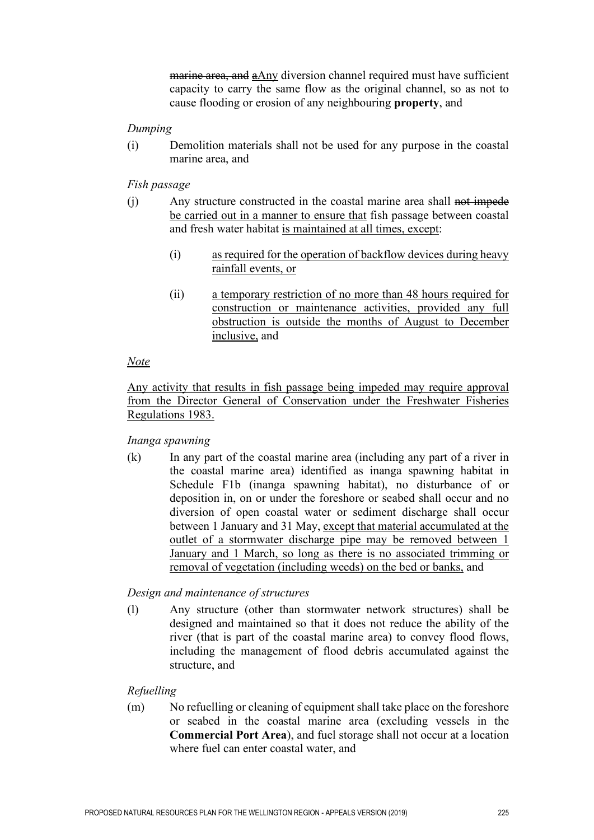marine area, and aAny diversion channel required must have sufficient capacity to carry the same flow as the original channel, so as not to cause flooding or erosion of any neighbouring **property**, and

#### *Dumping*

(i) Demolition materials shall not be used for any purpose in the coastal marine area, and

#### *Fish passage*

- (i) Any structure constructed in the coastal marine area shall not impede be carried out in a manner to ensure that fish passage between coastal and fresh water habitat is maintained at all times, except:
	- (i) as required for the operation of backflow devices during heavy rainfall events, or
	- (ii) a temporary restriction of no more than 48 hours required for construction or maintenance activities, provided any full obstruction is outside the months of August to December inclusive, and

#### *Note*

Any activity that results in fish passage being impeded may require approval from the Director General of Conservation under the Freshwater Fisheries Regulations 1983.

#### *Inanga spawning*

(k) In any part of the coastal marine area (including any part of a river in the coastal marine area) identified as inanga spawning habitat in Schedule F1b (inanga spawning habitat), no disturbance of or deposition in, on or under the foreshore or seabed shall occur and no diversion of open coastal water or sediment discharge shall occur between 1 January and 31 May, except that material accumulated at the outlet of a stormwater discharge pipe may be removed between 1 January and 1 March, so long as there is no associated trimming or removal of vegetation (including weeds) on the bed or banks, and

## *Design and maintenance of structures*

(l) Any structure (other than stormwater network structures) shall be designed and maintained so that it does not reduce the ability of the river (that is part of the coastal marine area) to convey flood flows, including the management of flood debris accumulated against the structure, and

## *Refuelling*

(m) No refuelling or cleaning of equipment shall take place on the foreshore or seabed in the coastal marine area (excluding vessels in the **Commercial Port Area**), and fuel storage shall not occur at a location where fuel can enter coastal water, and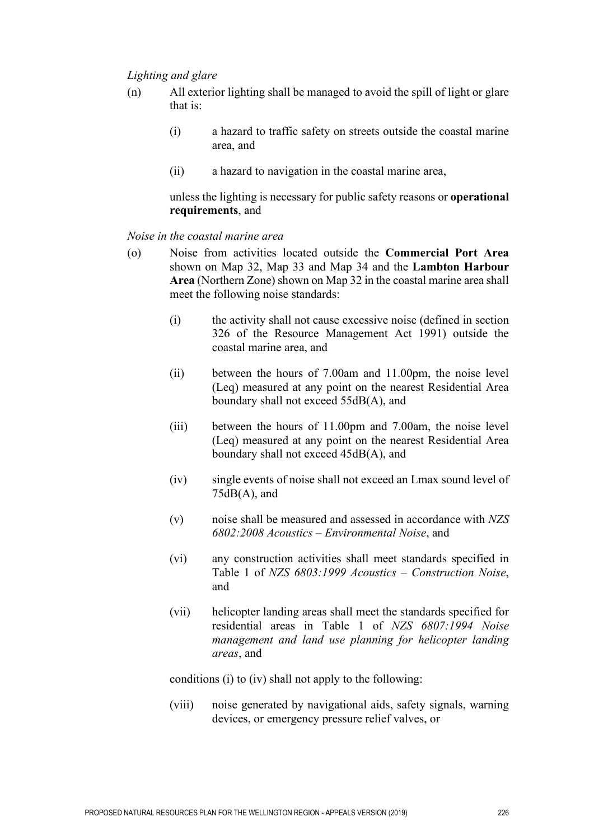#### *Lighting and glare*

- (n) All exterior lighting shall be managed to avoid the spill of light or glare that is:
	- (i) a hazard to traffic safety on streets outside the coastal marine area, and
	- (ii) a hazard to navigation in the coastal marine area,

unless the lighting is necessary for public safety reasons or **operational requirements**, and

#### *Noise in the coastal marine area*

- (o) Noise from activities located outside the **Commercial Port Area** shown on Map 32, Map 33 and Map 34 and the **Lambton Harbour Area** (Northern Zone) shown on Map 32 in the coastal marine area shall meet the following noise standards:
	- (i) the activity shall not cause excessive noise (defined in section 326 of the Resource Management Act 1991) outside the coastal marine area, and
	- (ii) between the hours of 7.00am and 11.00pm, the noise level (Leq) measured at any point on the nearest Residential Area boundary shall not exceed 55dB(A), and
	- (iii) between the hours of 11.00pm and 7.00am, the noise level (Leq) measured at any point on the nearest Residential Area boundary shall not exceed 45dB(A), and
	- (iv) single events of noise shall not exceed an Lmax sound level of  $75dB(A)$ , and
	- (v) noise shall be measured and assessed in accordance with *NZS 6802:2008 Acoustics – Environmental Noise*, and
	- (vi) any construction activities shall meet standards specified in Table 1 of *NZS 6803:1999 Acoustics – Construction Noise*, and
	- (vii) helicopter landing areas shall meet the standards specified for residential areas in Table 1 of *NZS 6807:1994 Noise management and land use planning for helicopter landing areas*, and

conditions (i) to (iv) shall not apply to the following:

(viii) noise generated by navigational aids, safety signals, warning devices, or emergency pressure relief valves, or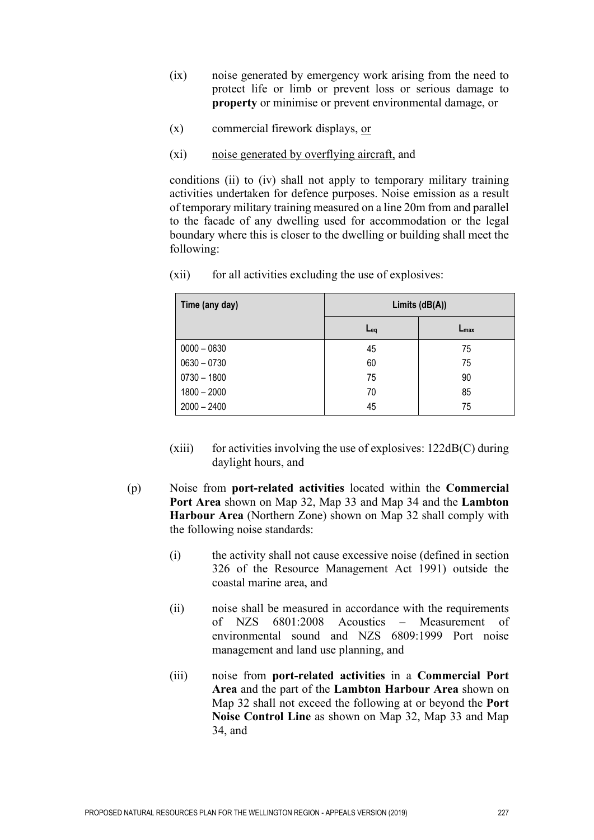- (ix) noise generated by emergency work arising from the need to protect life or limb or prevent loss or serious damage to **property** or minimise or prevent environmental damage, or
- (x) commercial firework displays, or
- (xi) noise generated by overflying aircraft, and

conditions (ii) to (iv) shall not apply to temporary military training activities undertaken for defence purposes. Noise emission as a result of temporary military training measured on a line 20m from and parallel to the facade of any dwelling used for accommodation or the legal boundary where this is closer to the dwelling or building shall meet the following:

| Time (any day) | Limits $(dB(A))$ |                  |  |  |  |
|----------------|------------------|------------------|--|--|--|
|                | $Eq$             | $L_{\text{max}}$ |  |  |  |
| $0000 - 0630$  | 45               | 75               |  |  |  |
| $0630 - 0730$  | 60               | 75               |  |  |  |
| $0730 - 1800$  | 75               | 90               |  |  |  |
| $1800 - 2000$  | 70               | 85               |  |  |  |
| $2000 - 2400$  | 45               | 75               |  |  |  |

(xii) for all activities excluding the use of explosives:

- (xiii) for activities involving the use of explosives:  $122dB(C)$  during daylight hours, and
- (p) Noise from **port-related activities** located within the **Commercial Port Area** shown on Map 32, Map 33 and Map 34 and the **Lambton Harbour Area** (Northern Zone) shown on Map 32 shall comply with the following noise standards:
	- (i) the activity shall not cause excessive noise (defined in section 326 of the Resource Management Act 1991) outside the coastal marine area, and
	- (ii) noise shall be measured in accordance with the requirements of NZS 6801:2008 Acoustics – Measurement of environmental sound and NZS 6809:1999 Port noise management and land use planning, and
	- (iii) noise from **port-related activities** in a **Commercial Port Area** and the part of the **Lambton Harbour Area** shown on Map 32 shall not exceed the following at or beyond the **Port Noise Control Line** as shown on Map 32, Map 33 and Map 34, and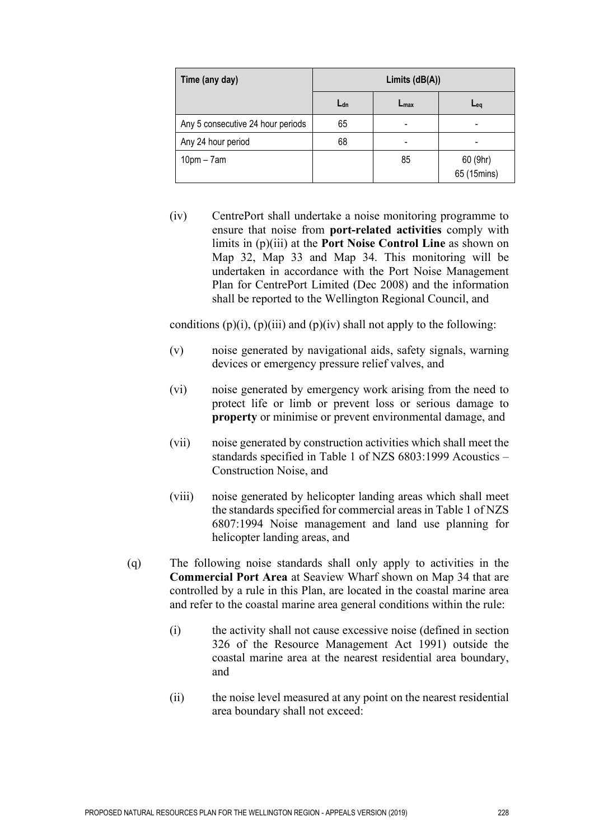| Time (any day)                    | Limits $(dB(A))$ |                  |                         |  |  |
|-----------------------------------|------------------|------------------|-------------------------|--|--|
|                                   | Ldn              | $L_{\text{max}}$ | $L_{eq}$                |  |  |
| Any 5 consecutive 24 hour periods | 65               |                  |                         |  |  |
| Any 24 hour period                | 68               |                  |                         |  |  |
| $10pm - 7am$                      |                  | 85               | 60 (9hr)<br>65 (15mins) |  |  |

(iv) CentrePort shall undertake a noise monitoring programme to ensure that noise from **port-related activities** comply with limits in (p)(iii) at the **Port Noise Control Line** as shown on Map 32, Map 33 and Map 34. This monitoring will be undertaken in accordance with the Port Noise Management Plan for CentrePort Limited (Dec 2008) and the information shall be reported to the Wellington Regional Council, and

conditions  $(p)(i)$ ,  $(p)(iii)$  and  $(p)(iv)$  shall not apply to the following:

- (v) noise generated by navigational aids, safety signals, warning devices or emergency pressure relief valves, and
- (vi) noise generated by emergency work arising from the need to protect life or limb or prevent loss or serious damage to **property** or minimise or prevent environmental damage, and
- (vii) noise generated by construction activities which shall meet the standards specified in Table 1 of NZS 6803:1999 Acoustics – Construction Noise, and
- (viii) noise generated by helicopter landing areas which shall meet the standards specified for commercial areas in Table 1 of NZS 6807:1994 Noise management and land use planning for helicopter landing areas, and
- (q) The following noise standards shall only apply to activities in the **Commercial Port Area** at Seaview Wharf shown on Map 34 that are controlled by a rule in this Plan, are located in the coastal marine area and refer to the coastal marine area general conditions within the rule:
	- (i) the activity shall not cause excessive noise (defined in section 326 of the Resource Management Act 1991) outside the coastal marine area at the nearest residential area boundary, and
	- (ii) the noise level measured at any point on the nearest residential area boundary shall not exceed: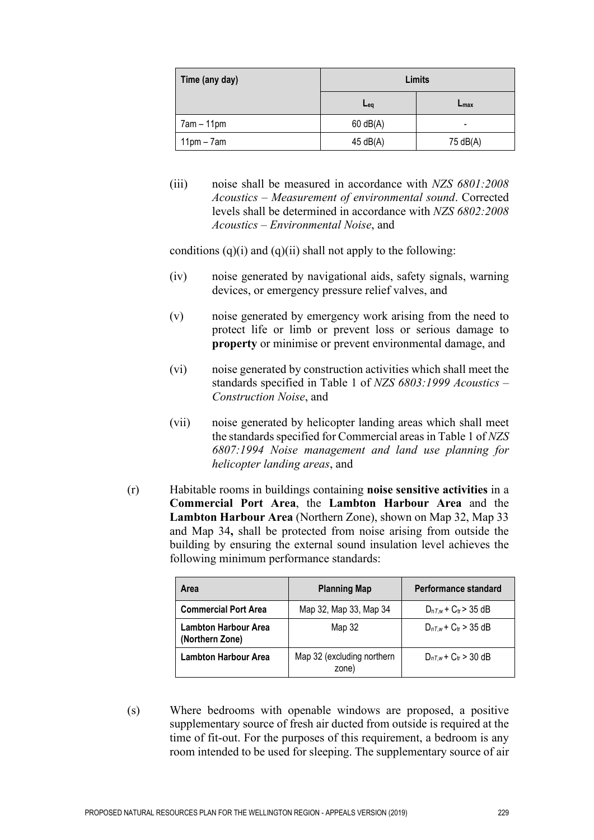| Time (any day) | Limits     |                  |  |  |
|----------------|------------|------------------|--|--|
|                | $Eq$       | $L_{\text{max}}$ |  |  |
| $7am - 11pm$   | $60$ dB(A) |                  |  |  |
| $11pm - 7am$   | 45 dB(A)   | 75 dB(A)         |  |  |

(iii) noise shall be measured in accordance with *NZS 6801:2008 Acoustics – Measurement of environmental sound*. Corrected levels shall be determined in accordance with *NZS 6802:2008 Acoustics – Environmental Noise*, and

conditions  $(q)(i)$  and  $(q)(ii)$  shall not apply to the following:

- (iv) noise generated by navigational aids, safety signals, warning devices, or emergency pressure relief valves, and
- (v) noise generated by emergency work arising from the need to protect life or limb or prevent loss or serious damage to **property** or minimise or prevent environmental damage, and
- (vi) noise generated by construction activities which shall meet the standards specified in Table 1 of *NZS 6803:1999 Acoustics – Construction Noise*, and
- (vii) noise generated by helicopter landing areas which shall meet the standards specified for Commercial areas in Table 1 of *NZS 6807:1994 Noise management and land use planning for helicopter landing areas*, and
- (r) Habitable rooms in buildings containing **noise sensitive activities** in a **Commercial Port Area**, the **Lambton Harbour Area** and the **Lambton Harbour Area** (Northern Zone), shown on Map 32, Map 33 and Map 34**,** shall be protected from noise arising from outside the building by ensuring the external sound insulation level achieves the following minimum performance standards:

| Area                                           | <b>Planning Map</b>                 | Performance standard          |
|------------------------------------------------|-------------------------------------|-------------------------------|
| <b>Commercial Port Area</b>                    | Map 32, Map 33, Map 34              | $D_{nT,w}$ + $C_{tr}$ > 35 dB |
| <b>Lambton Harbour Area</b><br>(Northern Zone) | Map 32                              | $D_{nTw}$ + $C_{tr}$ > 35 dB  |
| <b>Lambton Harbour Area</b>                    | Map 32 (excluding northern<br>zone) | $D_{nT,w}$ + $C_{tr}$ > 30 dB |

(s) Where bedrooms with openable windows are proposed, a positive supplementary source of fresh air ducted from outside is required at the time of fit-out. For the purposes of this requirement, a bedroom is any room intended to be used for sleeping. The supplementary source of air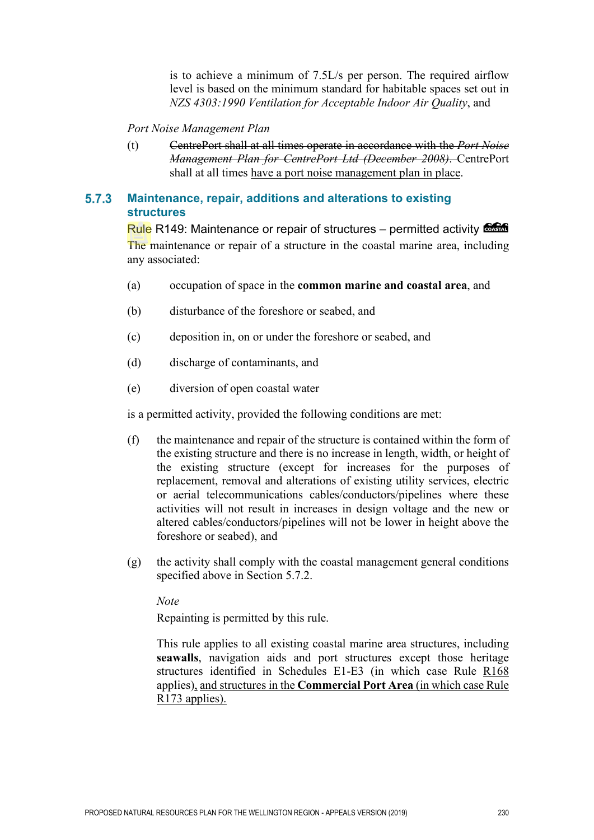is to achieve a minimum of 7.5L/s per person. The required airflow level is based on the minimum standard for habitable spaces set out in *NZS 4303:1990 Ventilation for Acceptable Indoor Air Quality*, and

*Port Noise Management Plan* 

(t) CentrePort shall at all times operate in accordance with the *Port Noise Management Plan for CentrePort Ltd (December 2008)*. CentrePort shall at all times have a port noise management plan in place.

#### $5.7.3$ **Maintenance, repair, additions and alterations to existing structures**

Rule R149: Maintenance or repair of structures – permitted activity Control The maintenance or repair of a structure in the coastal marine area, including any associated:

- (a) occupation of space in the **common marine and coastal area**, and
- (b) disturbance of the foreshore or seabed, and
- (c) deposition in, on or under the foreshore or seabed, and
- (d) discharge of contaminants, and
- (e) diversion of open coastal water

is a permitted activity, provided the following conditions are met:

- (f) the maintenance and repair of the structure is contained within the form of the existing structure and there is no increase in length, width, or height of the existing structure (except for increases for the purposes of replacement, removal and alterations of existing utility services, electric or aerial telecommunications cables/conductors/pipelines where these activities will not result in increases in design voltage and the new or altered cables/conductors/pipelines will not be lower in height above the foreshore or seabed), and
- (g) the activity shall comply with the coastal management general conditions specified above in Section 5.7.2.

*Note* 

Repainting is permitted by this rule.

This rule applies to all existing coastal marine area structures, including **seawalls**, navigation aids and port structures except those heritage structures identified in Schedules E1-E3 (in which case Rule R168 applies), and structures in the **Commercial Port Area** (in which case Rule R173 applies).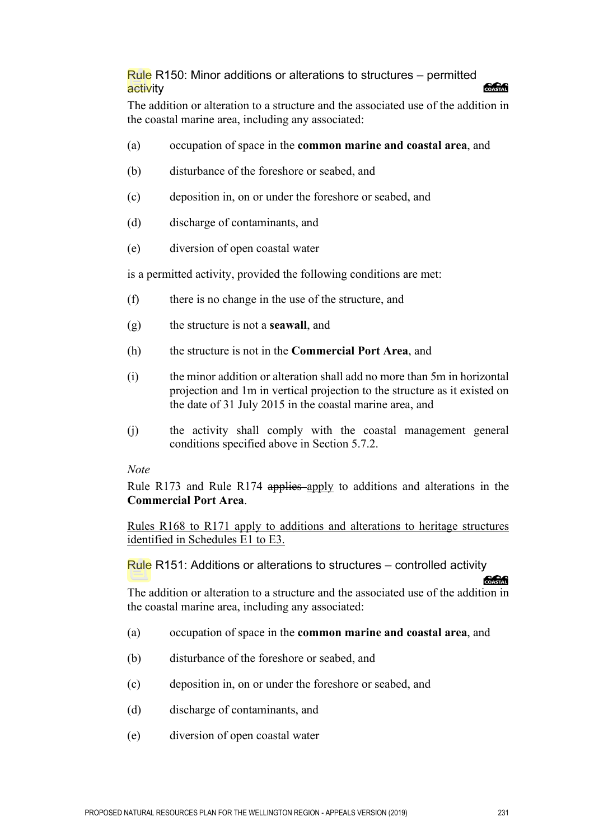## Rule R150: Minor additions or alterations to structures – permitted activity

The addition or alteration to a structure and the associated use of the addition in the coastal marine area, including any associated:

- (a) occupation of space in the **common marine and coastal area**, and
- (b) disturbance of the foreshore or seabed, and
- (c) deposition in, on or under the foreshore or seabed, and
- (d) discharge of contaminants, and
- (e) diversion of open coastal water

is a permitted activity, provided the following conditions are met:

- (f) there is no change in the use of the structure, and
- (g) the structure is not a **seawall**, and
- (h) the structure is not in the **Commercial Port Area**, and
- (i) the minor addition or alteration shall add no more than 5m in horizontal projection and 1m in vertical projection to the structure as it existed on the date of 31 July 2015 in the coastal marine area, and
- (j) the activity shall comply with the coastal management general conditions specified above in Section 5.7.2.

#### *Note*

Rule R173 and Rule R174 applies apply to additions and alterations in the **Commercial Port Area**.

Rules R168 to R171 apply to additions and alterations to heritage structures identified in Schedules E1 to E3.

#### Rule R151: Additions or alterations to structures – controlled activity

The addition or alteration to a structure and the associated use of the addition in the coastal marine area, including any associated:

- (a) occupation of space in the **common marine and coastal area**, and
- (b) disturbance of the foreshore or seabed, and
- (c) deposition in, on or under the foreshore or seabed, and
- (d) discharge of contaminants, and
- (e) diversion of open coastal water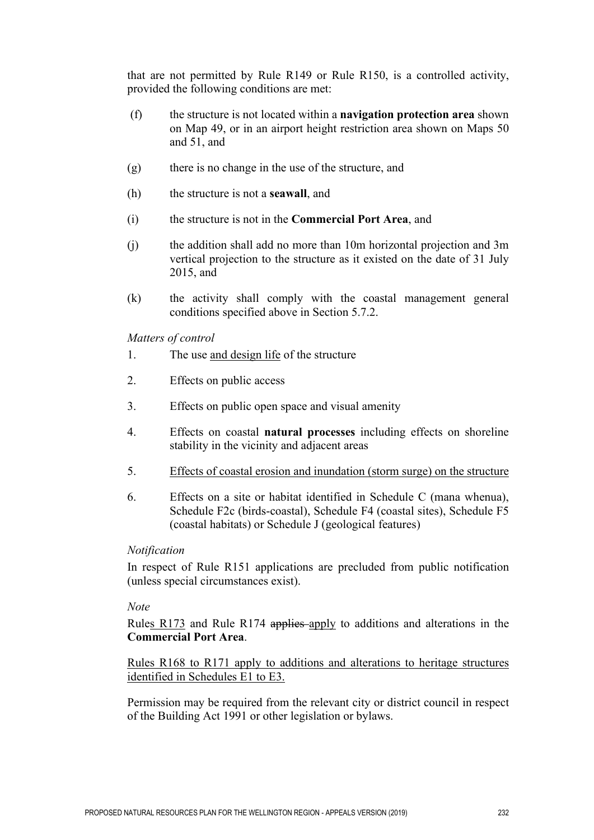that are not permitted by Rule R149 or Rule R150, is a controlled activity, provided the following conditions are met:

- (f) the structure is not located within a **navigation protection area** shown on Map 49, or in an airport height restriction area shown on Maps 50 and 51, and
- (g) there is no change in the use of the structure, and
- (h) the structure is not a **seawall**, and
- (i) the structure is not in the **Commercial Port Area**, and
- (j) the addition shall add no more than 10m horizontal projection and 3m vertical projection to the structure as it existed on the date of 31 July 2015, and
- (k) the activity shall comply with the coastal management general conditions specified above in Section 5.7.2.

*Matters of control* 

- 1. The use and design life of the structure
- 2. Effects on public access
- 3. Effects on public open space and visual amenity
- 4. Effects on coastal **natural processes** including effects on shoreline stability in the vicinity and adjacent areas
- 5. Effects of coastal erosion and inundation (storm surge) on the structure
- 6. Effects on a site or habitat identified in Schedule C (mana whenua), Schedule F2c (birds-coastal), Schedule F4 (coastal sites), Schedule F5 (coastal habitats) or Schedule J (geological features)

#### *Notification*

In respect of Rule R151 applications are precluded from public notification (unless special circumstances exist).

#### *Note*

Rules R173 and Rule R174 applies apply to additions and alterations in the **Commercial Port Area**.

Rules R168 to R171 apply to additions and alterations to heritage structures identified in Schedules E1 to E3.

Permission may be required from the relevant city or district council in respect of the Building Act 1991 or other legislation or bylaws.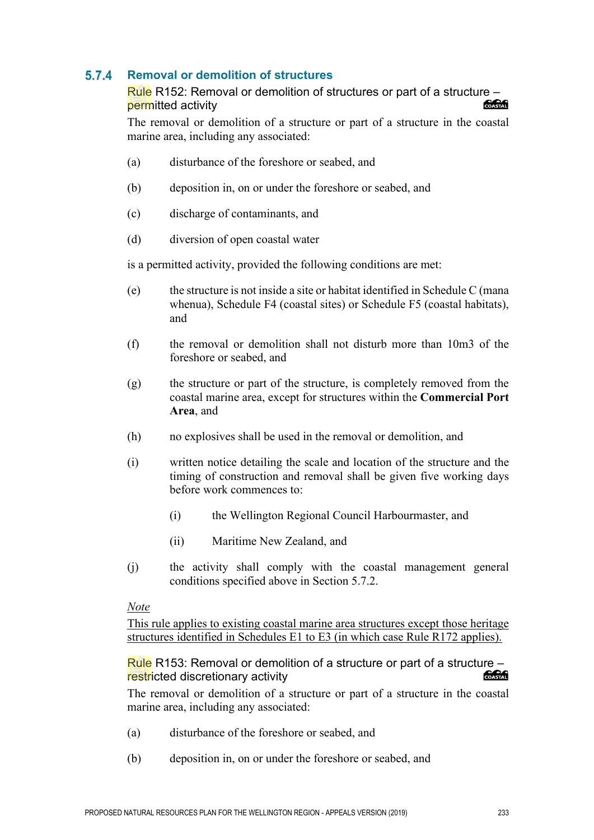#### $5.7.4$ **Removal or demolition of structures**

#### Rule R152: Removal or demolition of structures or part of a structure – permitted activity

The removal or demolition of a structure or part of a structure in the coastal marine area, including any associated:

- (a) disturbance of the foreshore or seabed, and
- (b) deposition in, on or under the foreshore or seabed, and
- (c) discharge of contaminants, and
- (d) diversion of open coastal water

is a permitted activity, provided the following conditions are met:

- (e) the structure is not inside a site or habitat identified in Schedule C (mana whenua), Schedule F4 (coastal sites) or Schedule F5 (coastal habitats), and
- (f) the removal or demolition shall not disturb more than 10m3 of the foreshore or seabed, and
- (g) the structure or part of the structure, is completely removed from the coastal marine area, except for structures within the **Commercial Port Area**, and
- (h) no explosives shall be used in the removal or demolition, and
- (i) written notice detailing the scale and location of the structure and the timing of construction and removal shall be given five working days before work commences to:
	- (i) the Wellington Regional Council Harbourmaster, and
	- (ii) Maritime New Zealand, and
- (j) the activity shall comply with the coastal management general conditions specified above in Section 5.7.2.

#### *Note*

This rule applies to existing coastal marine area structures except those heritage structures identified in Schedules E1 to E3 (in which case Rule R172 applies).

Rule R153: Removal or demolition of a structure or part of a structure – **ang an** restricted discretionary activity

The removal or demolition of a structure or part of a structure in the coastal marine area, including any associated:

- (a) disturbance of the foreshore or seabed, and
- (b) deposition in, on or under the foreshore or seabed, and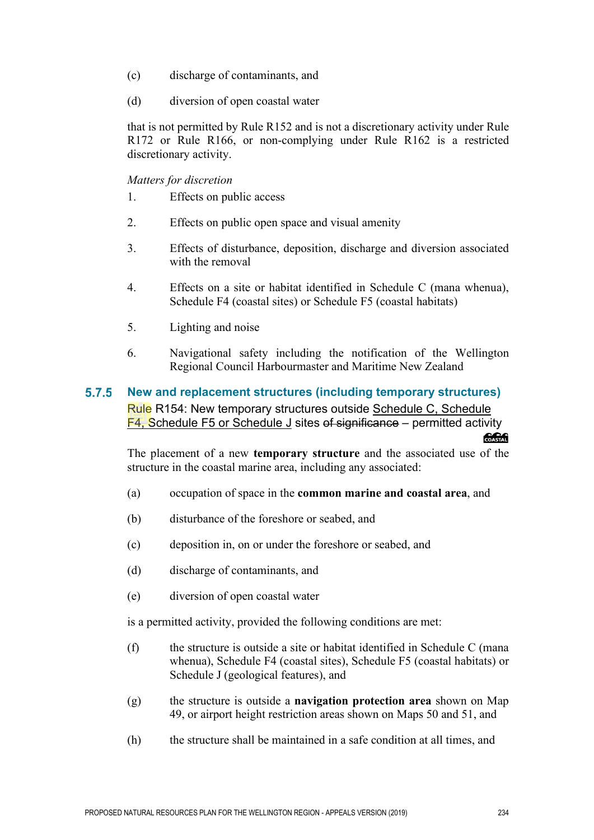- (c) discharge of contaminants, and
- (d) diversion of open coastal water

that is not permitted by Rule R152 and is not a discretionary activity under Rule R172 or Rule R166, or non-complying under Rule R162 is a restricted discretionary activity.

*Matters for discretion*

- 1. Effects on public access
- 2. Effects on public open space and visual amenity
- 3. Effects of disturbance, deposition, discharge and diversion associated with the removal
- 4. Effects on a site or habitat identified in Schedule C (mana whenua), Schedule F4 (coastal sites) or Schedule F5 (coastal habitats)
- 5. Lighting and noise
- 6. Navigational safety including the notification of the Wellington Regional Council Harbourmaster and Maritime New Zealand

#### $5.7.5$ **New and replacement structures (including temporary structures)** Rule R154: New temporary structures outside Schedule C, Schedule F4, Schedule F5 or Schedule J sites of significance – permitted activity

The placement of a new **temporary structure** and the associated use of the structure in the coastal marine area, including any associated:

- (a) occupation of space in the **common marine and coastal area**, and
- (b) disturbance of the foreshore or seabed, and
- (c) deposition in, on or under the foreshore or seabed, and
- (d) discharge of contaminants, and
- (e) diversion of open coastal water

is a permitted activity, provided the following conditions are met:

- (f) the structure is outside a site or habitat identified in Schedule C (mana whenua), Schedule F4 (coastal sites), Schedule F5 (coastal habitats) or Schedule J (geological features), and
- (g) the structure is outside a **navigation protection area** shown on Map 49, or airport height restriction areas shown on Maps 50 and 51, and
- (h) the structure shall be maintained in a safe condition at all times, and

**SABA**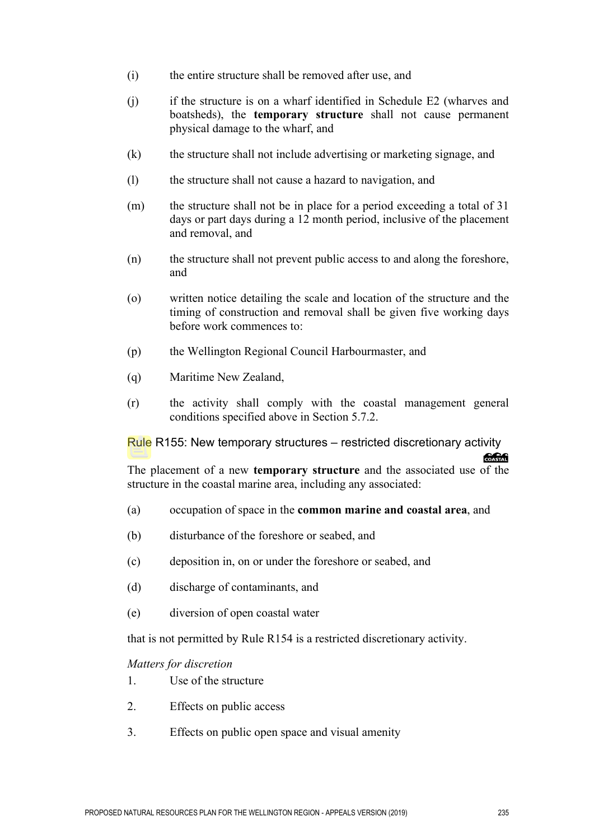- (i) the entire structure shall be removed after use, and
- (j) if the structure is on a wharf identified in Schedule E2 (wharves and boatsheds), the **temporary structure** shall not cause permanent physical damage to the wharf, and
- (k) the structure shall not include advertising or marketing signage, and
- (l) the structure shall not cause a hazard to navigation, and
- (m) the structure shall not be in place for a period exceeding a total of 31 days or part days during a 12 month period, inclusive of the placement and removal, and
- (n) the structure shall not prevent public access to and along the foreshore, and
- (o) written notice detailing the scale and location of the structure and the timing of construction and removal shall be given five working days before work commences to:
- (p) the Wellington Regional Council Harbourmaster, and
- (q) Maritime New Zealand,
- (r) the activity shall comply with the coastal management general conditions specified above in Section 5.7.2.

Rule R155: New temporary structures – restricted discretionary activity

The placement of a new **temporary structure** and the associated use of the structure in the coastal marine area, including any associated:

- (a) occupation of space in the **common marine and coastal area**, and
- (b) disturbance of the foreshore or seabed, and
- (c) deposition in, on or under the foreshore or seabed, and
- (d) discharge of contaminants, and
- (e) diversion of open coastal water

that is not permitted by Rule R154 is a restricted discretionary activity.

#### *Matters for discretion*

- 1. Use of the structure
- 2. Effects on public access
- 3. Effects on public open space and visual amenity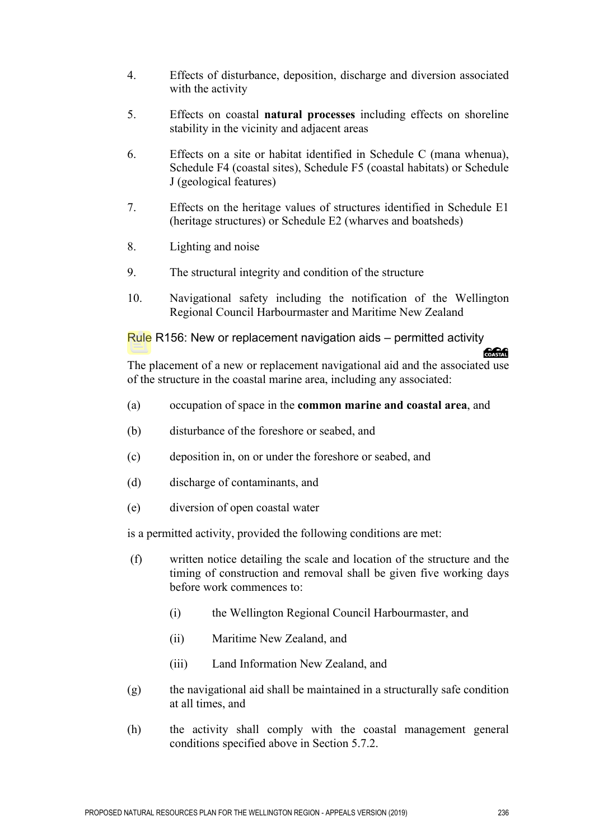- 4. Effects of disturbance, deposition, discharge and diversion associated with the activity
- 5. Effects on coastal **natural processes** including effects on shoreline stability in the vicinity and adjacent areas
- 6. Effects on a site or habitat identified in Schedule C (mana whenua), Schedule F4 (coastal sites), Schedule F5 (coastal habitats) or Schedule J (geological features)
- 7. Effects on the heritage values of structures identified in Schedule E1 (heritage structures) or Schedule E2 (wharves and boatsheds)
- 8. Lighting and noise
- 9. The structural integrity and condition of the structure
- 10. Navigational safety including the notification of the Wellington Regional Council Harbourmaster and Maritime New Zealand

Rule R156: New or replacement navigation aids – permitted activity

The placement of a new or replacement navigational aid and the associated use of the structure in the coastal marine area, including any associated:

- (a) occupation of space in the **common marine and coastal area**, and
- (b) disturbance of the foreshore or seabed, and
- (c) deposition in, on or under the foreshore or seabed, and
- (d) discharge of contaminants, and
- (e) diversion of open coastal water

is a permitted activity, provided the following conditions are met:

- (f) written notice detailing the scale and location of the structure and the timing of construction and removal shall be given five working days before work commences to:
	- (i) the Wellington Regional Council Harbourmaster, and
	- (ii) Maritime New Zealand, and
	- (iii) Land Information New Zealand, and
- (g) the navigational aid shall be maintained in a structurally safe condition at all times, and
- (h) the activity shall comply with the coastal management general conditions specified above in Section 5.7.2.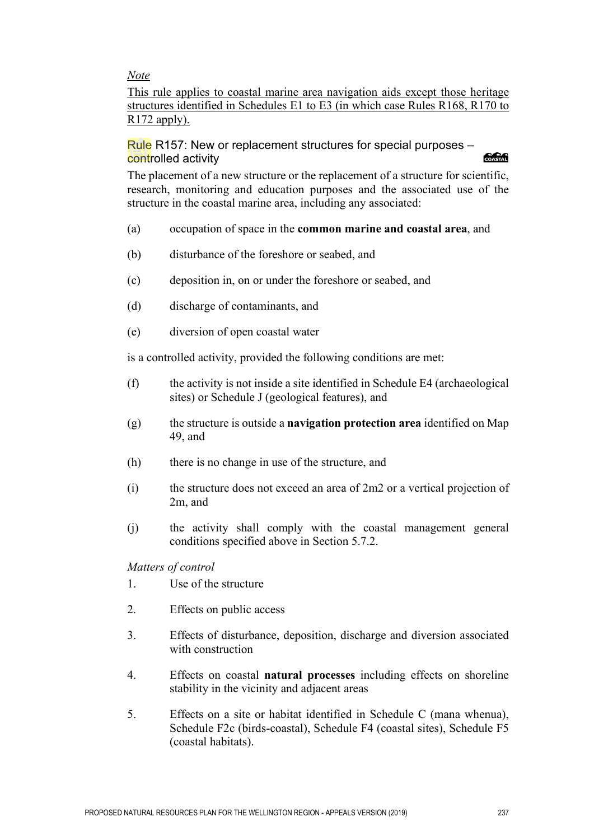*Note* 

This rule applies to coastal marine area navigation aids except those heritage structures identified in Schedules E1 to E3 (in which case Rules R168, R170 to R172 apply).

#### Rule R157: New or replacement structures for special purposes – controlled activity *<u> 2000 - 2000 - 2000 - 2000 - 2000 - 2000 - 2000 - 2000 - 2000 - 2000 - 2000 - 2000 - 2000 - 2000 - 2000 - 2000 - 2000 - 2000 - 2000 - 2000 - 2000 - 2000 - 2000 - 2000 - 2000 - 2000 - 2000 - 2000 - 2000 - 2000 - 2000 - 2*</u>

The placement of a new structure or the replacement of a structure for scientific, research, monitoring and education purposes and the associated use of the structure in the coastal marine area, including any associated:

- (a) occupation of space in the **common marine and coastal area**, and
- (b) disturbance of the foreshore or seabed, and
- (c) deposition in, on or under the foreshore or seabed, and
- (d) discharge of contaminants, and
- (e) diversion of open coastal water

is a controlled activity, provided the following conditions are met:

- (f) the activity is not inside a site identified in Schedule E4 (archaeological sites) or Schedule J (geological features), and
- (g) the structure is outside a **navigation protection area** identified on Map 49, and
- (h) there is no change in use of the structure, and
- (i) the structure does not exceed an area of 2m2 or a vertical projection of 2m, and
- (j) the activity shall comply with the coastal management general conditions specified above in Section 5.7.2.

*Matters of control* 

- 1. Use of the structure
- 2. Effects on public access
- 3. Effects of disturbance, deposition, discharge and diversion associated with construction
- 4. Effects on coastal **natural processes** including effects on shoreline stability in the vicinity and adjacent areas
- 5. Effects on a site or habitat identified in Schedule C (mana whenua), Schedule F2c (birds-coastal), Schedule F4 (coastal sites), Schedule F5 (coastal habitats).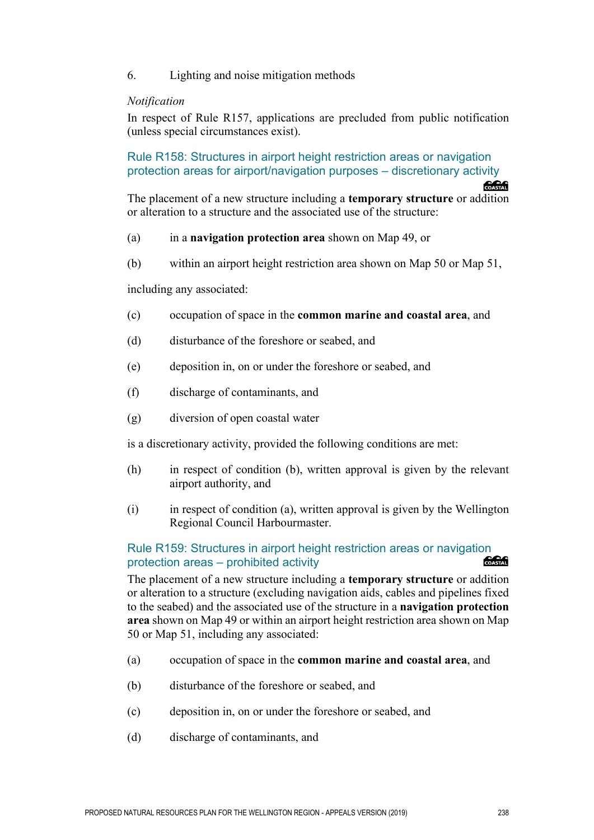#### 6. Lighting and noise mitigation methods

#### *Notification*

In respect of Rule R157, applications are precluded from public notification (unless special circumstances exist).

Rule R158: Structures in airport height restriction areas or navigation protection areas for airport/navigation purposes – discretionary activity

The placement of a new structure including a **temporary structure** or addition or alteration to a structure and the associated use of the structure:

#### (a) in a **navigation protection area** shown on Map 49, or

(b) within an airport height restriction area shown on Map 50 or Map 51,

including any associated:

- (c) occupation of space in the **common marine and coastal area**, and
- (d) disturbance of the foreshore or seabed, and
- (e) deposition in, on or under the foreshore or seabed, and
- (f) discharge of contaminants, and
- (g) diversion of open coastal water

is a discretionary activity, provided the following conditions are met:

- (h) in respect of condition (b), written approval is given by the relevant airport authority, and
- (i) in respect of condition (a), written approval is given by the Wellington Regional Council Harbourmaster.

#### Rule R159: Structures in airport height restriction areas or navigation<br>protection areas – probibited activity protection areas – prohibited activity

The placement of a new structure including a **temporary structure** or addition or alteration to a structure (excluding navigation aids, cables and pipelines fixed to the seabed) and the associated use of the structure in a **navigation protection area** shown on Map 49 or within an airport height restriction area shown on Map 50 or Map 51, including any associated:

- (a) occupation of space in the **common marine and coastal area**, and
- (b) disturbance of the foreshore or seabed, and
- (c) deposition in, on or under the foreshore or seabed, and
- (d) discharge of contaminants, and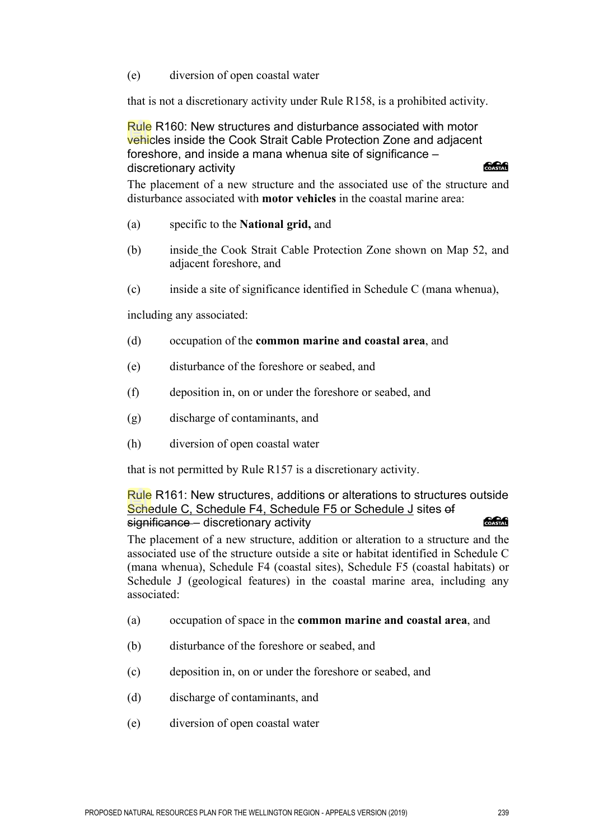(e) diversion of open coastal water

that is not a discretionary activity under Rule R158, is a prohibited activity.

Rule R160: New structures and disturbance associated with motor vehicles inside the Cook Strait Cable Protection Zone and adjacent foreshore, and inside a mana whenua site of significance – discretionary activity

The placement of a new structure and the associated use of the structure and disturbance associated with **motor vehicles** in the coastal marine area:

- (a) specific to the **National grid,** and
- (b) inside the Cook Strait Cable Protection Zone shown on Map 52, and adjacent foreshore, and
- (c) inside a site of significance identified in Schedule C (mana whenua),

including any associated:

- (d) occupation of the **common marine and coastal area**, and
- (e) disturbance of the foreshore or seabed, and
- (f) deposition in, on or under the foreshore or seabed, and
- (g) discharge of contaminants, and
- (h) diversion of open coastal water

that is not permitted by Rule R157 is a discretionary activity.

Rule R161: New structures, additions or alterations to structures outside Schedule C, Schedule F4, Schedule F5 or Schedule J sites of significance – discretionary activity **COASTAL** 

The placement of a new structure, addition or alteration to a structure and the associated use of the structure outside a site or habitat identified in Schedule C (mana whenua), Schedule F4 (coastal sites), Schedule F5 (coastal habitats) or Schedule J (geological features) in the coastal marine area, including any associated:

- (a) occupation of space in the **common marine and coastal area**, and
- (b) disturbance of the foreshore or seabed, and
- (c) deposition in, on or under the foreshore or seabed, and
- (d) discharge of contaminants, and
- (e) diversion of open coastal water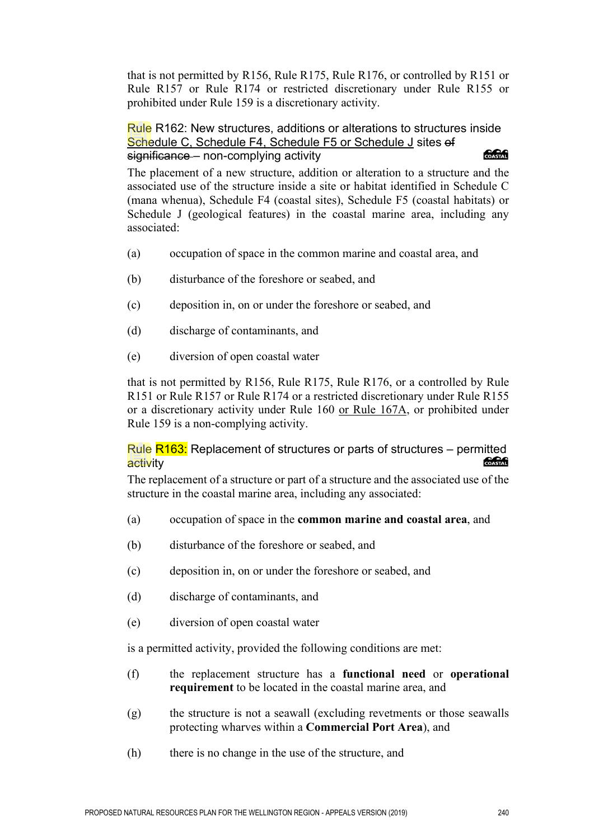that is not permitted by R156, Rule R175, Rule R176, or controlled by R151 or Rule R157 or Rule R174 or restricted discretionary under Rule R155 or prohibited under Rule 159 is a discretionary activity.

Rule R162: New structures, additions or alterations to structures inside Schedule C, Schedule F4, Schedule F5 or Schedule J sites of significance – non-complying activity

**SAGAR** 

The placement of a new structure, addition or alteration to a structure and the associated use of the structure inside a site or habitat identified in Schedule C (mana whenua), Schedule F4 (coastal sites), Schedule F5 (coastal habitats) or Schedule J (geological features) in the coastal marine area, including any associated:

- (a) occupation of space in the common marine and coastal area, and
- (b) disturbance of the foreshore or seabed, and
- (c) deposition in, on or under the foreshore or seabed, and
- (d) discharge of contaminants, and
- (e) diversion of open coastal water

that is not permitted by R156, Rule R175, Rule R176, or a controlled by Rule R151 or Rule R157 or Rule R174 or a restricted discretionary under Rule R155 or a discretionary activity under Rule 160 or Rule 167A, or prohibited under Rule 159 is a non-complying activity.

#### Rule  $R163$ : Replacement of structures or parts of structures – permitted activity **COASTAL**

The replacement of a structure or part of a structure and the associated use of the structure in the coastal marine area, including any associated:

- (a) occupation of space in the **common marine and coastal area**, and
- (b) disturbance of the foreshore or seabed, and
- (c) deposition in, on or under the foreshore or seabed, and
- (d) discharge of contaminants, and
- (e) diversion of open coastal water

is a permitted activity, provided the following conditions are met:

- (f) the replacement structure has a **functional need** or **operational requirement** to be located in the coastal marine area, and
- (g) the structure is not a seawall (excluding revetments or those seawalls protecting wharves within a **Commercial Port Area**), and
- (h) there is no change in the use of the structure, and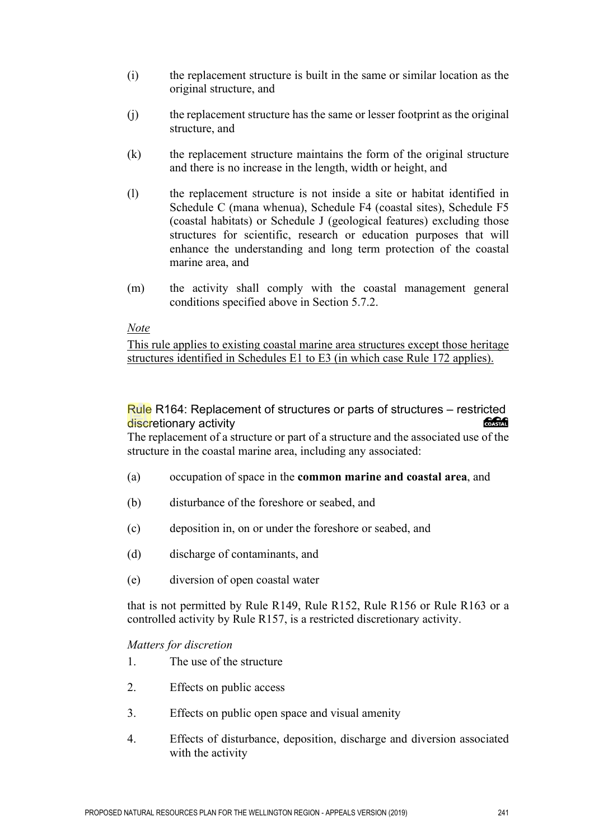- (i) the replacement structure is built in the same or similar location as the original structure, and
- (j) the replacement structure has the same or lesser footprint as the original structure, and
- (k) the replacement structure maintains the form of the original structure and there is no increase in the length, width or height, and
- (l) the replacement structure is not inside a site or habitat identified in Schedule C (mana whenua), Schedule F4 (coastal sites), Schedule F5 (coastal habitats) or Schedule J (geological features) excluding those structures for scientific, research or education purposes that will enhance the understanding and long term protection of the coastal marine area, and
- (m) the activity shall comply with the coastal management general conditions specified above in Section 5.7.2.

#### *Note*

This rule applies to existing coastal marine area structures except those heritage structures identified in Schedules E1 to E3 (in which case Rule 172 applies).

## Rule R164: Replacement of structures or parts of structures – restricted<br>discretionary activity discretionary activity

The replacement of a structure or part of a structure and the associated use of the structure in the coastal marine area, including any associated:

- (a) occupation of space in the **common marine and coastal area**, and
- (b) disturbance of the foreshore or seabed, and
- (c) deposition in, on or under the foreshore or seabed, and
- (d) discharge of contaminants, and
- (e) diversion of open coastal water

that is not permitted by Rule R149, Rule R152, Rule R156 or Rule R163 or a controlled activity by Rule R157, is a restricted discretionary activity.

#### *Matters for discretion*

- 1. The use of the structure
- 2. Effects on public access
- 3. Effects on public open space and visual amenity
- 4. Effects of disturbance, deposition, discharge and diversion associated with the activity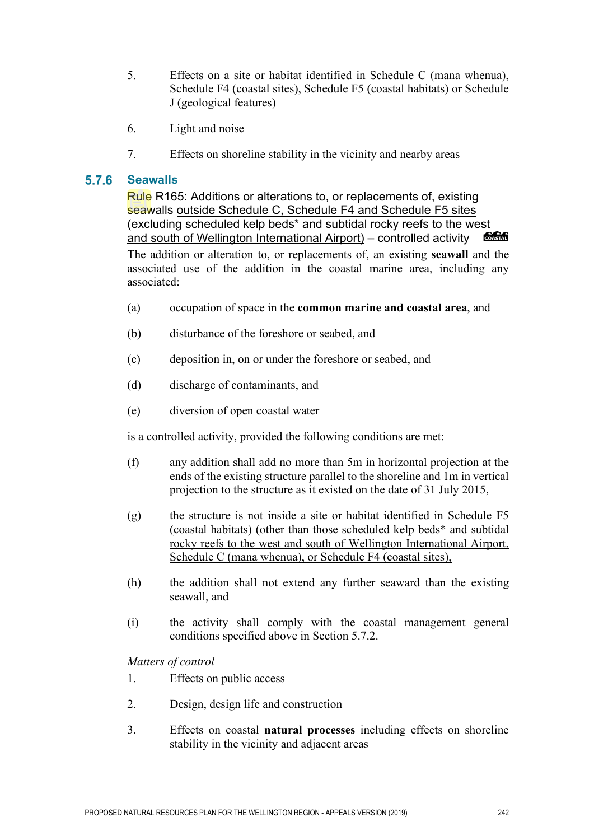- 5. Effects on a site or habitat identified in Schedule C (mana whenua), Schedule F4 (coastal sites), Schedule F5 (coastal habitats) or Schedule J (geological features)
- 6. Light and noise
- 7. Effects on shoreline stability in the vicinity and nearby areas

#### $5.7.6$ **Seawalls**

Rule R165: Additions or alterations to, or replacements of, existing seawalls outside Schedule C, Schedule F4 and Schedule F5 sites (excluding scheduled kelp beds\* and subtidal rocky reefs to the west and south of Wellington International Airport) – controlled activity **COASTAL** The addition or alteration to, or replacements of, an existing **seawall** and the

associated use of the addition in the coastal marine area, including any associated:

- (a) occupation of space in the **common marine and coastal area**, and
- (b) disturbance of the foreshore or seabed, and
- (c) deposition in, on or under the foreshore or seabed, and
- (d) discharge of contaminants, and
- (e) diversion of open coastal water

is a controlled activity, provided the following conditions are met:

- (f) any addition shall add no more than 5m in horizontal projection at the ends of the existing structure parallel to the shoreline and 1m in vertical projection to the structure as it existed on the date of 31 July 2015,
- (g) the structure is not inside a site or habitat identified in Schedule F5 (coastal habitats) (other than those scheduled kelp beds\* and subtidal rocky reefs to the west and south of Wellington International Airport, Schedule C (mana whenua), or Schedule F4 (coastal sites),
- (h) the addition shall not extend any further seaward than the existing seawall, and
- (i) the activity shall comply with the coastal management general conditions specified above in Section 5.7.2.

*Matters of control* 

- 1. Effects on public access
- 2. Design, design life and construction
- 3. Effects on coastal **natural processes** including effects on shoreline stability in the vicinity and adjacent areas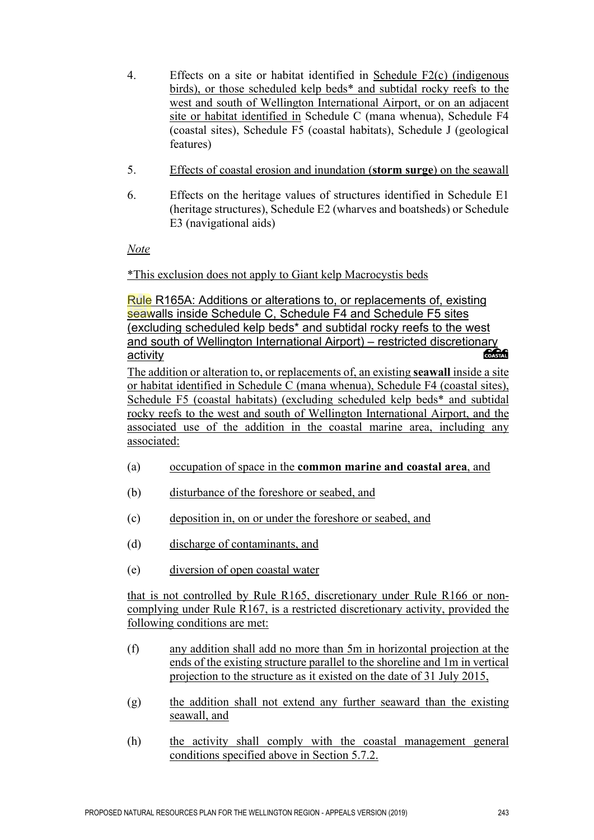- 4. Effects on a site or habitat identified in Schedule F2(c) (indigenous birds), or those scheduled kelp beds\* and subtidal rocky reefs to the west and south of Wellington International Airport, or on an adjacent site or habitat identified in Schedule C (mana whenua), Schedule F4 (coastal sites), Schedule F5 (coastal habitats), Schedule J (geological features)
- 5. Effects of coastal erosion and inundation (**storm surge**) on the seawall
- 6. Effects on the heritage values of structures identified in Schedule E1 (heritage structures), Schedule E2 (wharves and boatsheds) or Schedule E3 (navigational aids)

*Note*

\*This exclusion does not apply to Giant kelp Macrocystis beds

Rule R165A: Additions or alterations to, or replacements of, existing seawalls inside Schedule C, Schedule F4 and Schedule F5 sites (excluding scheduled kelp beds\* and subtidal rocky reefs to the west and south of Wellington International Airport) – restricted discretionary<br>activity activity

The addition or alteration to, or replacements of, an existing **seawall** inside a site or habitat identified in Schedule C (mana whenua), Schedule F4 (coastal sites), Schedule F5 (coastal habitats) (excluding scheduled kelp beds\* and subtidal rocky reefs to the west and south of Wellington International Airport, and the associated use of the addition in the coastal marine area, including any associated:

- (a) occupation of space in the **common marine and coastal area**, and
- (b) disturbance of the foreshore or seabed, and
- (c) deposition in, on or under the foreshore or seabed, and
- (d) discharge of contaminants, and
- (e) diversion of open coastal water

that is not controlled by Rule R165, discretionary under Rule R166 or noncomplying under Rule R167, is a restricted discretionary activity, provided the following conditions are met:

- (f) any addition shall add no more than 5m in horizontal projection at the ends of the existing structure parallel to the shoreline and 1m in vertical projection to the structure as it existed on the date of 31 July 2015,
- (g) the addition shall not extend any further seaward than the existing seawall, and
- (h) the activity shall comply with the coastal management general conditions specified above in Section 5.7.2.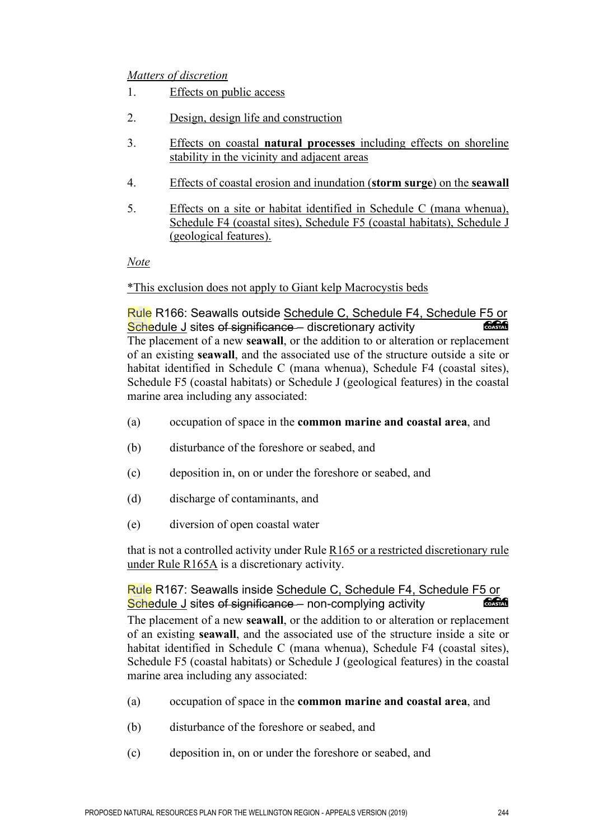#### *Matters of discretion*

- 1. Effects on public access
- 2. Design, design life and construction
- 3. Effects on coastal **natural processes** including effects on shoreline stability in the vicinity and adjacent areas
- 4. Effects of coastal erosion and inundation (**storm surge**) on the **seawall**
- 5. Effects on a site or habitat identified in Schedule C (mana whenua), Schedule F4 (coastal sites), Schedule F5 (coastal habitats), Schedule J (geological features).

*Note*

#### \*This exclusion does not apply to Giant kelp Macrocystis beds

Rule R166: Seawalls outside Schedule C, Schedule F4, Schedule F5 or<br>Schedule Lsites of significance – discretionary activity Schedule J sites of significance – discretionary activity The placement of a new **seawall**, or the addition to or alteration or replacement of an existing **seawall**, and the associated use of the structure outside a site or habitat identified in Schedule C (mana whenua), Schedule F4 (coastal sites), Schedule F5 (coastal habitats) or Schedule J (geological features) in the coastal marine area including any associated:

- (a) occupation of space in the **common marine and coastal area**, and
- (b) disturbance of the foreshore or seabed, and
- (c) deposition in, on or under the foreshore or seabed, and
- (d) discharge of contaminants, and
- (e) diversion of open coastal water

that is not a controlled activity under Rule R165 or a restricted discretionary rule under Rule R165A is a discretionary activity.

#### Rule R167: Seawalls inside Schedule C, Schedule F4, Schedule F5 or<br>Schedule J sites of significance - non-complying activity Schedule J sites of significance – non-complying activity

The placement of a new **seawall**, or the addition to or alteration or replacement of an existing **seawall**, and the associated use of the structure inside a site or habitat identified in Schedule C (mana whenua), Schedule F4 (coastal sites), Schedule F5 (coastal habitats) or Schedule J (geological features) in the coastal marine area including any associated:

- (a) occupation of space in the **common marine and coastal area**, and
- (b) disturbance of the foreshore or seabed, and
- (c) deposition in, on or under the foreshore or seabed, and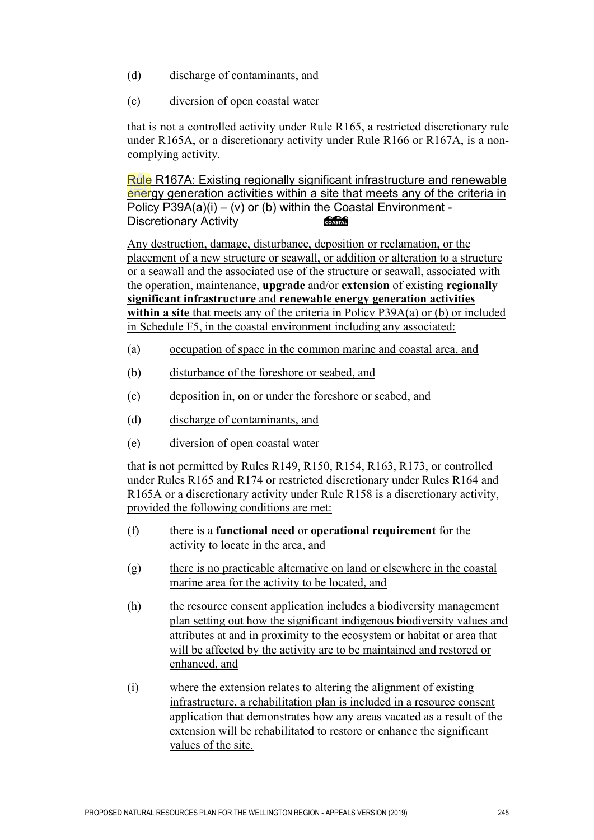- (d) discharge of contaminants, and
- (e) diversion of open coastal water

that is not a controlled activity under Rule R165, a restricted discretionary rule under R165A, or a discretionary activity under Rule R166 or R167A, is a noncomplying activity.

Rule R167A: Existing regionally significant infrastructure and renewable energy generation activities within a site that meets any of the criteria in Policy P39A(a)(i) – (v) or (b) within the Coastal Environment -Discretionary Activity COASTAL

Any destruction, damage, disturbance, deposition or reclamation, or the placement of a new structure or seawall, or addition or alteration to a structure or a seawall and the associated use of the structure or seawall, associated with the operation, maintenance, **upgrade** and/or **extension** of existing **regionally significant infrastructure** and **renewable energy generation activities within a site** that meets any of the criteria in Policy P39A(a) or (b) or included in Schedule F5, in the coastal environment including any associated:

- (a) occupation of space in the common marine and coastal area, and
- (b) disturbance of the foreshore or seabed, and
- (c) deposition in, on or under the foreshore or seabed, and
- (d) discharge of contaminants, and
- (e) diversion of open coastal water

that is not permitted by Rules R149, R150, R154, R163, R173, or controlled under Rules R165 and R174 or restricted discretionary under Rules R164 and R165A or a discretionary activity under Rule R158 is a discretionary activity, provided the following conditions are met:

- (f) there is a **functional need** or **operational requirement** for the activity to locate in the area, and
- (g) there is no practicable alternative on land or elsewhere in the coastal marine area for the activity to be located, and
- (h) the resource consent application includes a biodiversity management plan setting out how the significant indigenous biodiversity values and attributes at and in proximity to the ecosystem or habitat or area that will be affected by the activity are to be maintained and restored or enhanced, and
- (i) where the extension relates to altering the alignment of existing infrastructure, a rehabilitation plan is included in a resource consent application that demonstrates how any areas vacated as a result of the extension will be rehabilitated to restore or enhance the significant values of the site.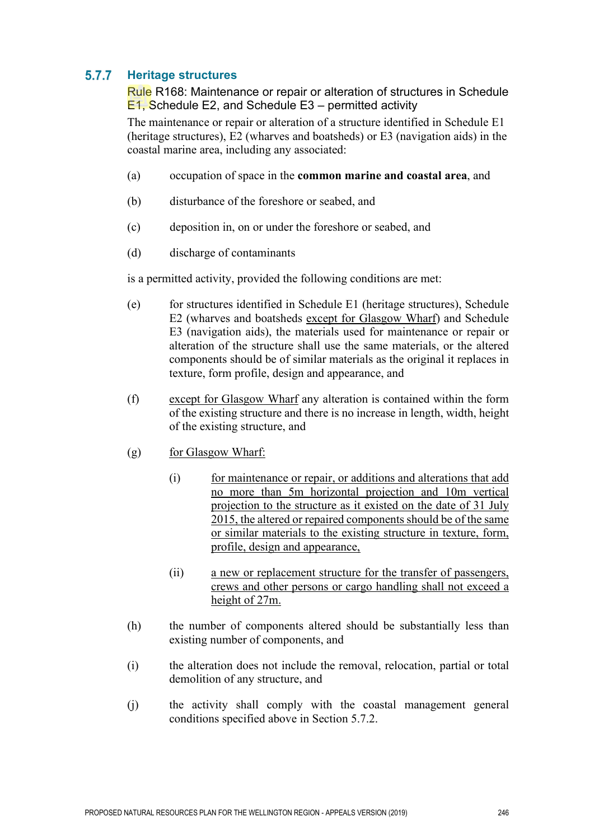#### $5.7.7$ **Heritage structures**

Rule R168: Maintenance or repair or alteration of structures in Schedule E1, Schedule E2, and Schedule E3 – permitted activity

The maintenance or repair or alteration of a structure identified in Schedule E1 (heritage structures), E2 (wharves and boatsheds) or E3 (navigation aids) in the coastal marine area, including any associated:

- (a) occupation of space in the **common marine and coastal area**, and
- (b) disturbance of the foreshore or seabed, and
- (c) deposition in, on or under the foreshore or seabed, and
- (d) discharge of contaminants

is a permitted activity, provided the following conditions are met:

- (e) for structures identified in Schedule E1 (heritage structures), Schedule E2 (wharves and boatsheds except for Glasgow Wharf) and Schedule E3 (navigation aids), the materials used for maintenance or repair or alteration of the structure shall use the same materials, or the altered components should be of similar materials as the original it replaces in texture, form profile, design and appearance, and
- (f) except for Glasgow Wharf any alteration is contained within the form of the existing structure and there is no increase in length, width, height of the existing structure, and
- (g) for Glasgow Wharf:
	- (i) for maintenance or repair, or additions and alterations that add no more than 5m horizontal projection and 10m vertical projection to the structure as it existed on the date of 31 July 2015, the altered or repaired components should be of the same or similar materials to the existing structure in texture, form, profile, design and appearance,
	- (ii) a new or replacement structure for the transfer of passengers, crews and other persons or cargo handling shall not exceed a height of 27m.
- (h) the number of components altered should be substantially less than existing number of components, and
- (i) the alteration does not include the removal, relocation, partial or total demolition of any structure, and
- (j) the activity shall comply with the coastal management general conditions specified above in Section 5.7.2.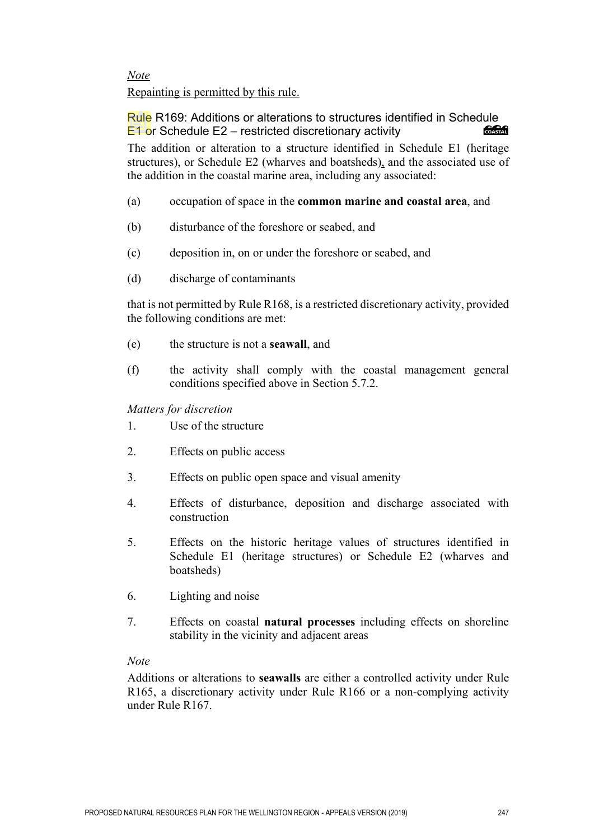*Note*  Repainting is permitted by this rule.

Rule R169: Additions or alterations to structures identified in Schedule E1 or Schedule E2 – restricted discretionary activity COASTAL

The addition or alteration to a structure identified in Schedule E1 (heritage structures), or Schedule E2 (wharves and boatsheds), and the associated use of the addition in the coastal marine area, including any associated:

- (a) occupation of space in the **common marine and coastal area**, and
- (b) disturbance of the foreshore or seabed, and
- (c) deposition in, on or under the foreshore or seabed, and
- (d) discharge of contaminants

that is not permitted by Rule R168, is a restricted discretionary activity, provided the following conditions are met:

- (e) the structure is not a **seawall**, and
- (f) the activity shall comply with the coastal management general conditions specified above in Section 5.7.2.
- *Matters for discretion*
- 1. Use of the structure
- 2. Effects on public access
- 3. Effects on public open space and visual amenity
- 4. Effects of disturbance, deposition and discharge associated with construction
- 5. Effects on the historic heritage values of structures identified in Schedule E1 (heritage structures) or Schedule E2 (wharves and boatsheds)
- 6. Lighting and noise
- 7. Effects on coastal **natural processes** including effects on shoreline stability in the vicinity and adjacent areas

## *Note*

Additions or alterations to **seawalls** are either a controlled activity under Rule R165, a discretionary activity under Rule R166 or a non-complying activity under Rule R167.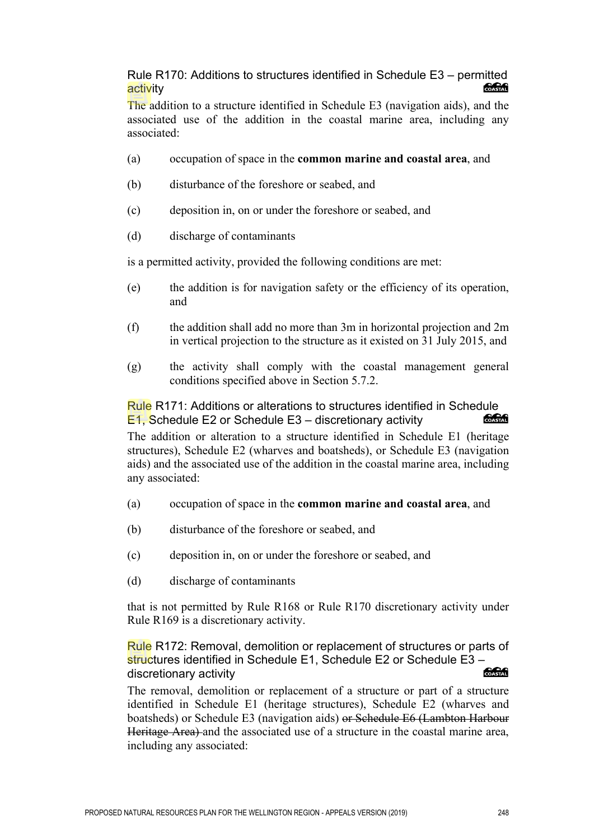Rule R170: Additions to structures identified in Schedule E3 – permitted **Concrete** activity

The addition to a structure identified in Schedule E3 (navigation aids), and the associated use of the addition in the coastal marine area, including any associated:

- (a) occupation of space in the **common marine and coastal area**, and
- (b) disturbance of the foreshore or seabed, and
- (c) deposition in, on or under the foreshore or seabed, and
- (d) discharge of contaminants

is a permitted activity, provided the following conditions are met:

- (e) the addition is for navigation safety or the efficiency of its operation, and
- (f) the addition shall add no more than 3m in horizontal projection and 2m in vertical projection to the structure as it existed on 31 July 2015, and
- (g) the activity shall comply with the coastal management general conditions specified above in Section 5.7.2.

## Rule R171: Additions or alterations to structures identified in Schedule<br>E1. Schedule E2.or Schedule E3. discretionary activity E1, Schedule E2 or Schedule E3 – discretionary activity

The addition or alteration to a structure identified in Schedule E1 (heritage structures), Schedule E2 (wharves and boatsheds), or Schedule E3 (navigation aids) and the associated use of the addition in the coastal marine area, including any associated:

- (a) occupation of space in the **common marine and coastal area**, and
- (b) disturbance of the foreshore or seabed, and
- (c) deposition in, on or under the foreshore or seabed, and
- (d) discharge of contaminants

that is not permitted by Rule R168 or Rule R170 discretionary activity under Rule R169 is a discretionary activity.

Rule R172: Removal, demolition or replacement of structures or parts of structures identified in Schedule E1, Schedule E2 or Schedule E3 – COASTAL discretionary activity

The removal, demolition or replacement of a structure or part of a structure identified in Schedule E1 (heritage structures), Schedule E2 (wharves and boatsheds) or Schedule E3 (navigation aids) or Schedule E6 (Lambton Harbour Heritage Area) and the associated use of a structure in the coastal marine area, including any associated: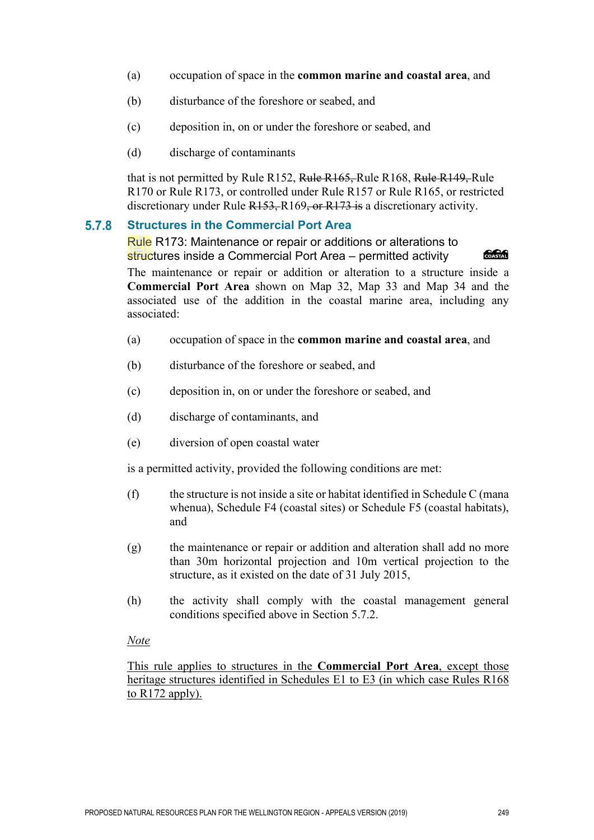- (a) occupation of space in the **common marine and coastal area**, and
- (b) disturbance of the foreshore or seabed, and
- (c) deposition in, on or under the foreshore or seabed, and
- (d) discharge of contaminants

that is not permitted by Rule R152, Rule R165, Rule R168, Rule R149, Rule R170 or Rule R173, or controlled under Rule R157 or Rule R165, or restricted discretionary under Rule R153, R169, or R173 is a discretionary activity.

#### 5.7.8 **Structures in the Commercial Port Area**

Rule R173: Maintenance or repair or additions or alterations to structures inside a Commercial Port Area – permitted activity

**COASTAL** 

The maintenance or repair or addition or alteration to a structure inside a **Commercial Port Area** shown on Map 32, Map 33 and Map 34 and the associated use of the addition in the coastal marine area, including any associated:

- (a) occupation of space in the **common marine and coastal area**, and
- (b) disturbance of the foreshore or seabed, and
- (c) deposition in, on or under the foreshore or seabed, and
- (d) discharge of contaminants, and
- (e) diversion of open coastal water

is a permitted activity, provided the following conditions are met:

- (f) the structure is not inside a site or habitat identified in Schedule C (mana whenua), Schedule F4 (coastal sites) or Schedule F5 (coastal habitats), and
- (g) the maintenance or repair or addition and alteration shall add no more than 30m horizontal projection and 10m vertical projection to the structure, as it existed on the date of 31 July 2015,
- (h) the activity shall comply with the coastal management general conditions specified above in Section 5.7.2.

#### *Note*

This rule applies to structures in the **Commercial Port Area**, except those heritage structures identified in Schedules E1 to E3 (in which case Rules R168 to R172 apply).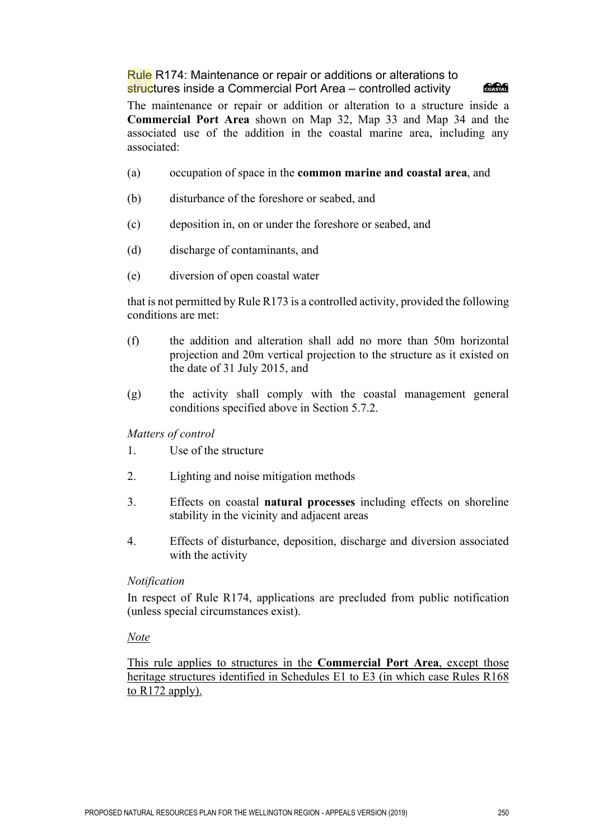Rule R174: Maintenance or repair or additions or alterations to structures inside a Commercial Port Area – controlled activity



The maintenance or repair or addition or alteration to a structure inside a **Commercial Port Area** shown on Map 32, Map 33 and Map 34 and the associated use of the addition in the coastal marine area, including any associated:

- (a) occupation of space in the **common marine and coastal area**, and
- (b) disturbance of the foreshore or seabed, and
- (c) deposition in, on or under the foreshore or seabed, and
- (d) discharge of contaminants, and
- (e) diversion of open coastal water

that is not permitted by Rule R173 is a controlled activity, provided the following conditions are met:

- (f) the addition and alteration shall add no more than 50m horizontal projection and 20m vertical projection to the structure as it existed on the date of 31 July 2015, and
- (g) the activity shall comply with the coastal management general conditions specified above in Section 5.7.2.

*Matters of control* 

- 1. Use of the structure
- 2. Lighting and noise mitigation methods
- 3. Effects on coastal **natural processes** including effects on shoreline stability in the vicinity and adjacent areas
- 4. Effects of disturbance, deposition, discharge and diversion associated with the activity

#### *Notification*

In respect of Rule R174, applications are precluded from public notification (unless special circumstances exist).

#### *Note*

This rule applies to structures in the **Commercial Port Area**, except those heritage structures identified in Schedules E1 to E3 (in which case Rules R168 to R172 apply).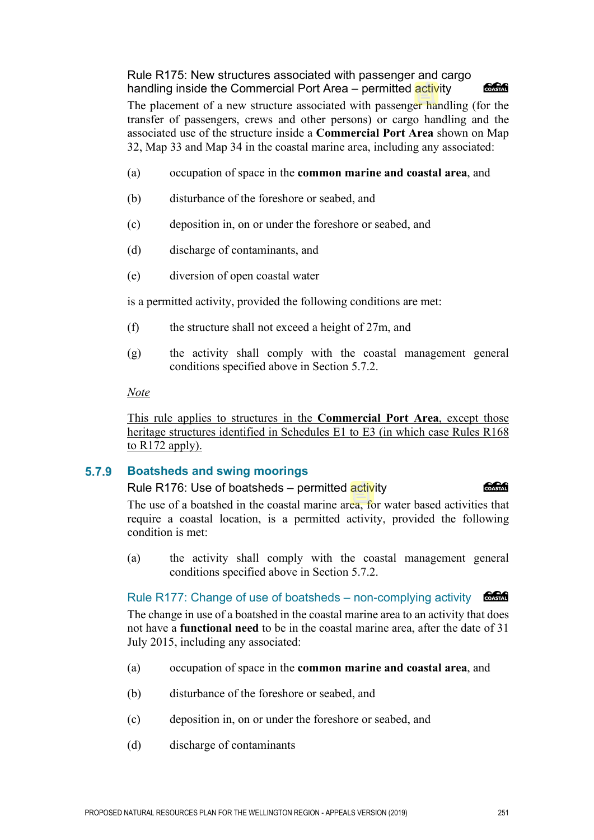Rule R175: New structures associated with passenger and cargo handling inside the Commercial Port Area – permitted activity

## **ang Kabupatèn**

The placement of a new structure associated with passenger handling (for the transfer of passengers, crews and other persons) or cargo handling and the associated use of the structure inside a **Commercial Port Area** shown on Map 32, Map 33 and Map 34 in the coastal marine area, including any associated:

- (a) occupation of space in the **common marine and coastal area**, and
- (b) disturbance of the foreshore or seabed, and
- (c) deposition in, on or under the foreshore or seabed, and
- (d) discharge of contaminants, and
- (e) diversion of open coastal water

is a permitted activity, provided the following conditions are met:

- (f) the structure shall not exceed a height of 27m, and
- (g) the activity shall comply with the coastal management general conditions specified above in Section 5.7.2.

#### *Note*

This rule applies to structures in the **Commercial Port Area**, except those heritage structures identified in Schedules E1 to E3 (in which case Rules R168 to R172 apply).

#### **Boatsheds and swing moorings**  $5.7.9$

#### Rule R176: Use of boatsheds – permitted activity

**CACA** 

The use of a boatshed in the coastal marine area, for water based activities that require a coastal location, is a permitted activity, provided the following condition is met:

(a) the activity shall comply with the coastal management general conditions specified above in Section 5.7.2.

## Rule R177: Change of use of boatsheds – non-complying activity  $\circ$

The change in use of a boatshed in the coastal marine area to an activity that does not have a **functional need** to be in the coastal marine area, after the date of 31 July 2015, including any associated:

- (a) occupation of space in the **common marine and coastal area**, and
- (b) disturbance of the foreshore or seabed, and
- (c) deposition in, on or under the foreshore or seabed, and
- (d) discharge of contaminants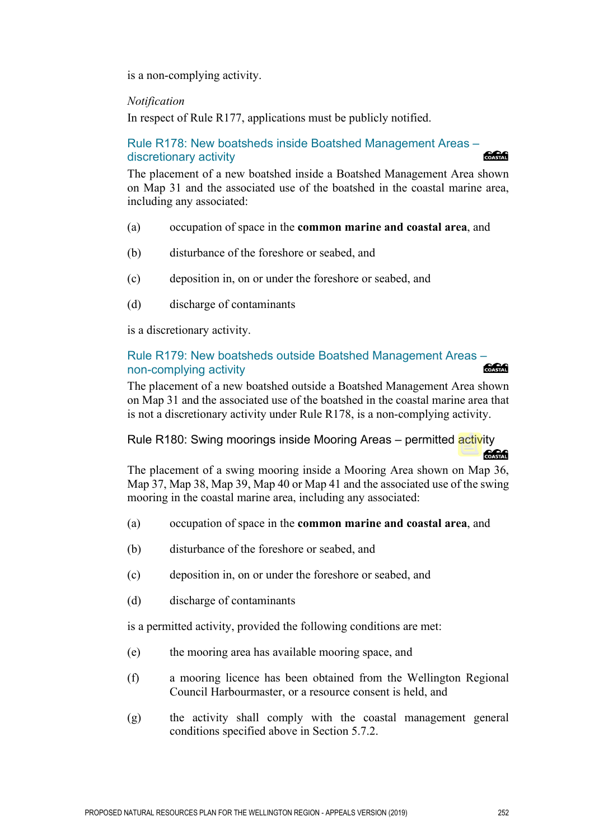is a non-complying activity.

*Notification*

In respect of Rule R177, applications must be publicly notified.

#### Rule R178: New boatsheds inside Boatshed Management Areas – discretionary activity **SACK**

The placement of a new boatshed inside a Boatshed Management Area shown on Map 31 and the associated use of the boatshed in the coastal marine area, including any associated:

- (a) occupation of space in the **common marine and coastal area**, and
- (b) disturbance of the foreshore or seabed, and
- (c) deposition in, on or under the foreshore or seabed, and
- (d) discharge of contaminants

is a discretionary activity.

## Rule R179: New boatsheds outside Boatshed Management Areas – non-complying activity

The placement of a new boatshed outside a Boatshed Management Area shown on Map 31 and the associated use of the boatshed in the coastal marine area that is not a discretionary activity under Rule R178, is a non-complying activity.

#### Rule R180: Swing moorings inside Mooring Areas – permitted activity **COASTAR**

The placement of a swing mooring inside a Mooring Area shown on Map 36, Map 37, Map 38, Map 39, Map 40 or Map 41 and the associated use of the swing mooring in the coastal marine area, including any associated:

- (a) occupation of space in the **common marine and coastal area**, and
- (b) disturbance of the foreshore or seabed, and
- (c) deposition in, on or under the foreshore or seabed, and
- (d) discharge of contaminants

is a permitted activity, provided the following conditions are met:

- (e) the mooring area has available mooring space, and
- (f) a mooring licence has been obtained from the Wellington Regional Council Harbourmaster, or a resource consent is held, and
- (g) the activity shall comply with the coastal management general conditions specified above in Section 5.7.2.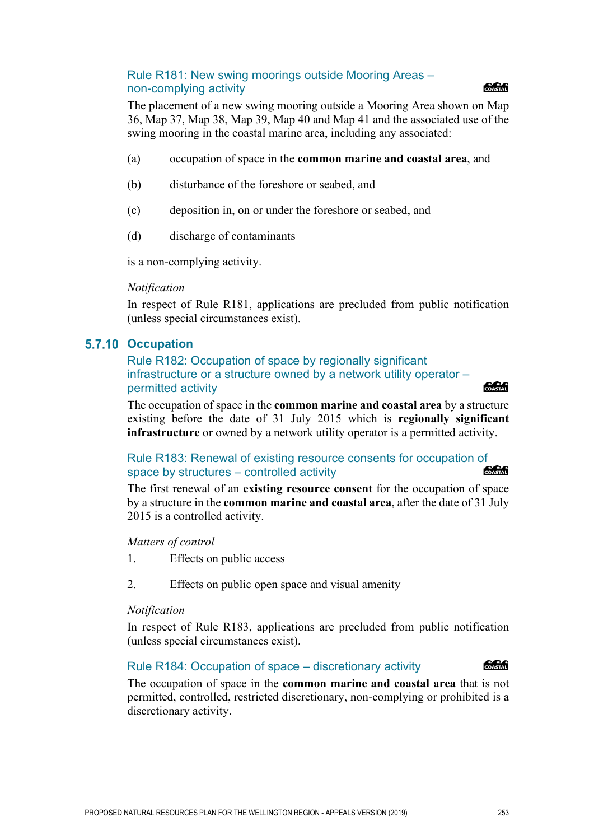#### Rule R181: New swing moorings outside Mooring Areas – non-complying activity

The placement of a new swing mooring outside a Mooring Area shown on Map 36, Map 37, Map 38, Map 39, Map 40 and Map 41 and the associated use of the swing mooring in the coastal marine area, including any associated:

- (a) occupation of space in the **common marine and coastal area**, and
- (b) disturbance of the foreshore or seabed, and
- (c) deposition in, on or under the foreshore or seabed, and
- (d) discharge of contaminants

is a non-complying activity.

#### *Notification*

In respect of Rule R181, applications are precluded from public notification (unless special circumstances exist).

#### **5.7.10 Occupation**

Rule R182: Occupation of space by regionally significant infrastructure or a structure owned by a network utility operator – permitted activity

The occupation of space in the **common marine and coastal area** by a structure existing before the date of 31 July 2015 which is **regionally significant infrastructure** or owned by a network utility operator is a permitted activity.

Rule R183: Renewal of existing resource consents for occupation of COASTAL space by structures – controlled activity

The first renewal of an **existing resource consent** for the occupation of space by a structure in the **common marine and coastal area**, after the date of 31 July 2015 is a controlled activity.

#### *Matters of control*

- 1. Effects on public access
- 2. Effects on public open space and visual amenity

#### *Notification*

In respect of Rule R183, applications are precluded from public notification (unless special circumstances exist).

#### Rule R184: Occupation of space – discretionary activity

The occupation of space in the **common marine and coastal area** that is not permitted, controlled, restricted discretionary, non-complying or prohibited is a discretionary activity.



**SACA** 

# COASTAL

COASTAL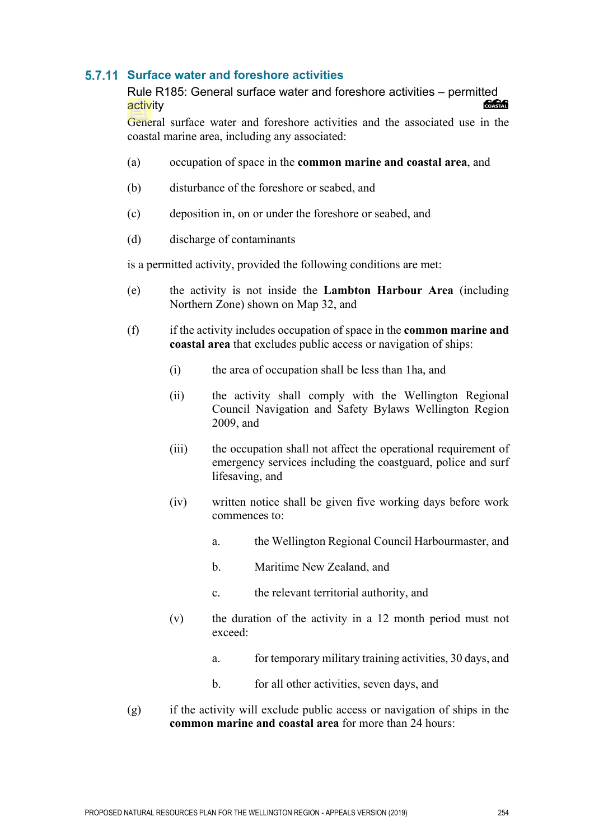## **Surface water and foreshore activities**

Rule R185: General surface water and foreshore activities – permitted activity

General surface water and foreshore activities and the associated use in the coastal marine area, including any associated:

- (a) occupation of space in the **common marine and coastal area**, and
- (b) disturbance of the foreshore or seabed, and
- (c) deposition in, on or under the foreshore or seabed, and
- (d) discharge of contaminants

is a permitted activity, provided the following conditions are met:

- (e) the activity is not inside the **Lambton Harbour Area** (including Northern Zone) shown on Map 32, and
- (f) if the activity includes occupation of space in the **common marine and coastal area** that excludes public access or navigation of ships:
	- (i) the area of occupation shall be less than 1ha, and
	- (ii) the activity shall comply with the Wellington Regional Council Navigation and Safety Bylaws Wellington Region 2009, and
	- (iii) the occupation shall not affect the operational requirement of emergency services including the coastguard, police and surf lifesaving, and
	- (iv) written notice shall be given five working days before work commences to:
		- a. the Wellington Regional Council Harbourmaster, and
		- b. Maritime New Zealand, and
		- c. the relevant territorial authority, and
	- (v) the duration of the activity in a 12 month period must not exceed:
		- a. for temporary military training activities, 30 days, and
		- b. for all other activities, seven days, and
- (g) if the activity will exclude public access or navigation of ships in the **common marine and coastal area** for more than 24 hours: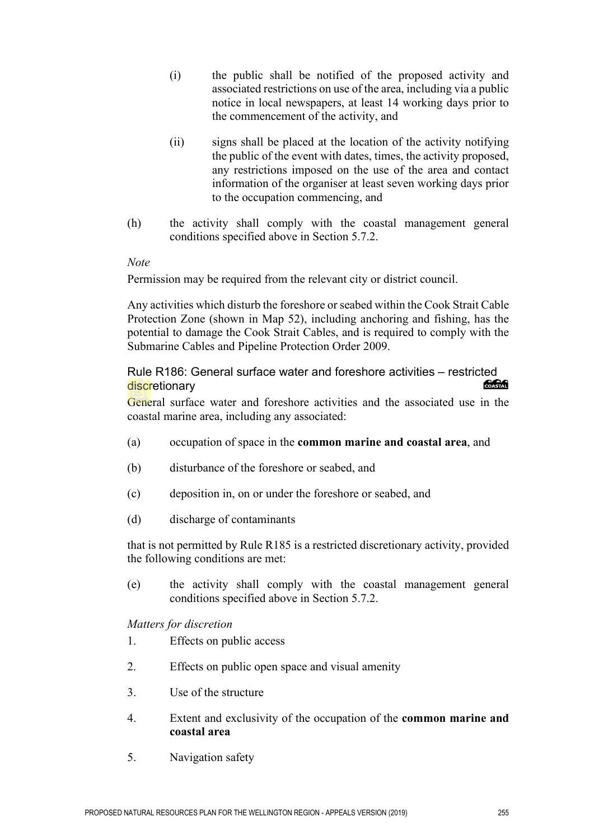- (i) the public shall be notified of the proposed activity and associated restrictions on use of the area, including via a public notice in local newspapers, at least 14 working days prior to the commencement of the activity, and
- (ii) signs shall be placed at the location of the activity notifying the public of the event with dates, times, the activity proposed, any restrictions imposed on the use of the area and contact information of the organiser at least seven working days prior to the occupation commencing, and
- (h) the activity shall comply with the coastal management general conditions specified above in Section 5.7.2.

#### *Note*

Permission may be required from the relevant city or district council.

Any activities which disturb the foreshore or seabed within the Cook Strait Cable Protection Zone (shown in Map 52), including anchoring and fishing, has the potential to damage the Cook Strait Cables, and is required to comply with the Submarine Cables and Pipeline Protection Order 2009.

Rule R186: General surface water and foreshore activities – restricted COASTAL discretionary

General surface water and foreshore activities and the associated use in the coastal marine area, including any associated:

- (a) occupation of space in the **common marine and coastal area**, and
- (b) disturbance of the foreshore or seabed, and
- (c) deposition in, on or under the foreshore or seabed, and
- (d) discharge of contaminants

that is not permitted by Rule R185 is a restricted discretionary activity, provided the following conditions are met:

(e) the activity shall comply with the coastal management general conditions specified above in Section 5.7.2.

*Matters for discretion*

- 1. Effects on public access
- 2. Effects on public open space and visual amenity
- 3. Use of the structure
- 4. Extent and exclusivity of the occupation of the **common marine and coastal area**
- 5. Navigation safety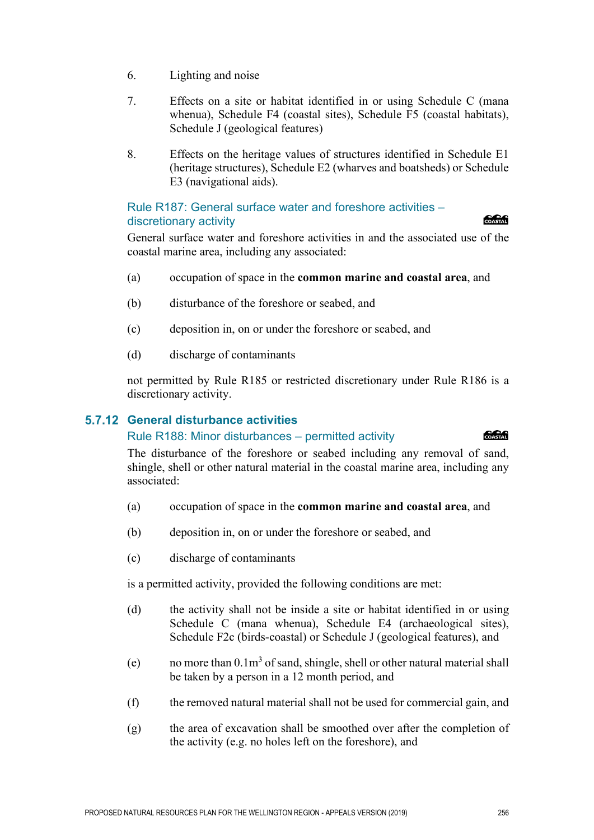- 6. Lighting and noise
- 7. Effects on a site or habitat identified in or using Schedule C (mana whenua), Schedule F4 (coastal sites), Schedule F5 (coastal habitats), Schedule J (geological features)
- 8. Effects on the heritage values of structures identified in Schedule E1 (heritage structures), Schedule E2 (wharves and boatsheds) or Schedule E3 (navigational aids).

#### Rule R187: General surface water and foreshore activities – discretionary activity

#### **Concrete**

General surface water and foreshore activities in and the associated use of the coastal marine area, including any associated:

- (a) occupation of space in the **common marine and coastal area**, and
- (b) disturbance of the foreshore or seabed, and
- (c) deposition in, on or under the foreshore or seabed, and
- (d) discharge of contaminants

not permitted by Rule R185 or restricted discretionary under Rule R186 is a discretionary activity.

#### **General disturbance activities**

#### Rule R188: Minor disturbances – permitted activity

#### **CACA**

The disturbance of the foreshore or seabed including any removal of sand, shingle, shell or other natural material in the coastal marine area, including any associated:

- (a) occupation of space in the **common marine and coastal area**, and
- (b) deposition in, on or under the foreshore or seabed, and
- (c) discharge of contaminants

is a permitted activity, provided the following conditions are met:

- (d) the activity shall not be inside a site or habitat identified in or using Schedule C (mana whenua), Schedule E4 (archaeological sites), Schedule F2c (birds-coastal) or Schedule J (geological features), and
- (e) no more than  $0.1\,\text{m}^3$  of sand, shingle, shell or other natural material shall be taken by a person in a 12 month period, and
- (f) the removed natural material shall not be used for commercial gain, and
- (g) the area of excavation shall be smoothed over after the completion of the activity (e.g. no holes left on the foreshore), and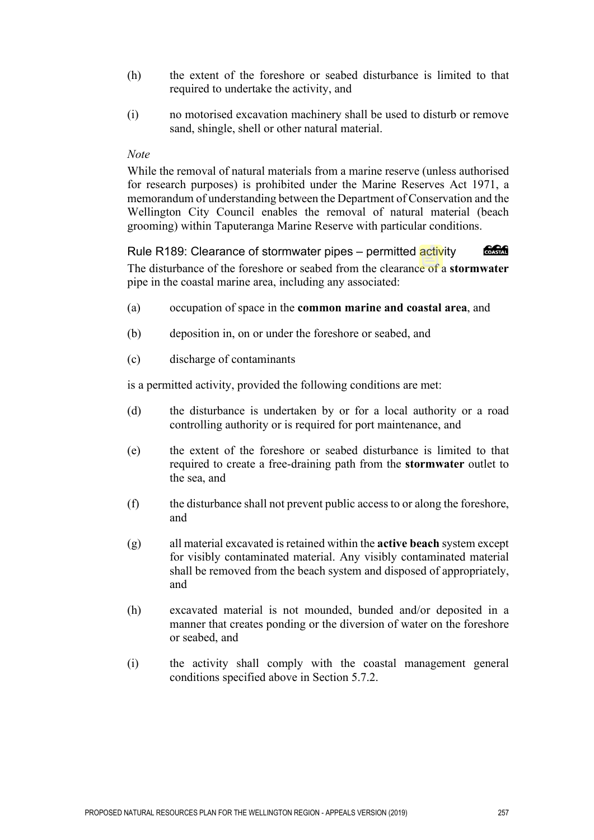- (h) the extent of the foreshore or seabed disturbance is limited to that required to undertake the activity, and
- (i) no motorised excavation machinery shall be used to disturb or remove sand, shingle, shell or other natural material.

#### *Note*

While the removal of natural materials from a marine reserve (unless authorised for research purposes) is prohibited under the Marine Reserves Act 1971, a memorandum of understanding between the Department of Conservation and the Wellington City Council enables the removal of natural material (beach grooming) within Taputeranga Marine Reserve with particular conditions.

COASTAL Rule R189: Clearance of stormwater pipes – permitted activity The disturbance of the foreshore or seabed from the clearance of a **stormwater** pipe in the coastal marine area, including any associated:

- (a) occupation of space in the **common marine and coastal area**, and
- (b) deposition in, on or under the foreshore or seabed, and
- (c) discharge of contaminants

is a permitted activity, provided the following conditions are met:

- (d) the disturbance is undertaken by or for a local authority or a road controlling authority or is required for port maintenance, and
- (e) the extent of the foreshore or seabed disturbance is limited to that required to create a free-draining path from the **stormwater** outlet to the sea, and
- (f) the disturbance shall not prevent public access to or along the foreshore, and
- (g) all material excavated is retained within the **active beach** system except for visibly contaminated material. Any visibly contaminated material shall be removed from the beach system and disposed of appropriately, and
- (h) excavated material is not mounded, bunded and/or deposited in a manner that creates ponding or the diversion of water on the foreshore or seabed, and
- (i) the activity shall comply with the coastal management general conditions specified above in Section 5.7.2.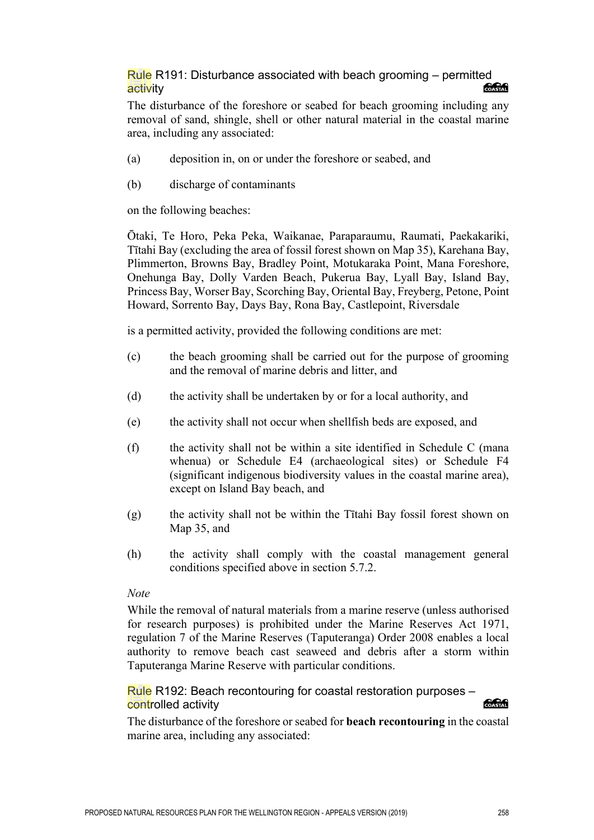#### Rule R191: Disturbance associated with beach grooming – permitted **Concrete** activity

The disturbance of the foreshore or seabed for beach grooming including any removal of sand, shingle, shell or other natural material in the coastal marine area, including any associated:

- (a) deposition in, on or under the foreshore or seabed, and
- (b) discharge of contaminants

on the following beaches:

Ōtaki, Te Horo, Peka Peka, Waikanae, Paraparaumu, Raumati, Paekakariki, Tītahi Bay (excluding the area of fossil forest shown on Map 35), Karehana Bay, Plimmerton, Browns Bay, Bradley Point, Motukaraka Point, Mana Foreshore, Onehunga Bay, Dolly Varden Beach, Pukerua Bay, Lyall Bay, Island Bay, Princess Bay, Worser Bay, Scorching Bay, Oriental Bay, Freyberg, Petone, Point Howard, Sorrento Bay, Days Bay, Rona Bay, Castlepoint, Riversdale

is a permitted activity, provided the following conditions are met:

- (c) the beach grooming shall be carried out for the purpose of grooming and the removal of marine debris and litter, and
- (d) the activity shall be undertaken by or for a local authority, and
- (e) the activity shall not occur when shellfish beds are exposed, and
- (f) the activity shall not be within a site identified in Schedule C (mana whenua) or Schedule E4 (archaeological sites) or Schedule F4 (significant indigenous biodiversity values in the coastal marine area), except on Island Bay beach, and
- (g) the activity shall not be within the Tītahi Bay fossil forest shown on Map 35, and
- (h) the activity shall comply with the coastal management general conditions specified above in section 5.7.2.

#### *Note*

While the removal of natural materials from a marine reserve (unless authorised for research purposes) is prohibited under the Marine Reserves Act 1971, regulation 7 of the Marine Reserves (Taputeranga) Order 2008 enables a local authority to remove beach cast seaweed and debris after a storm within Taputeranga Marine Reserve with particular conditions.

Rule R192: Beach recontouring for coastal restoration purposes – controlled activity **COASTAL** 

The disturbance of the foreshore or seabed for **beach recontouring** in the coastal marine area, including any associated: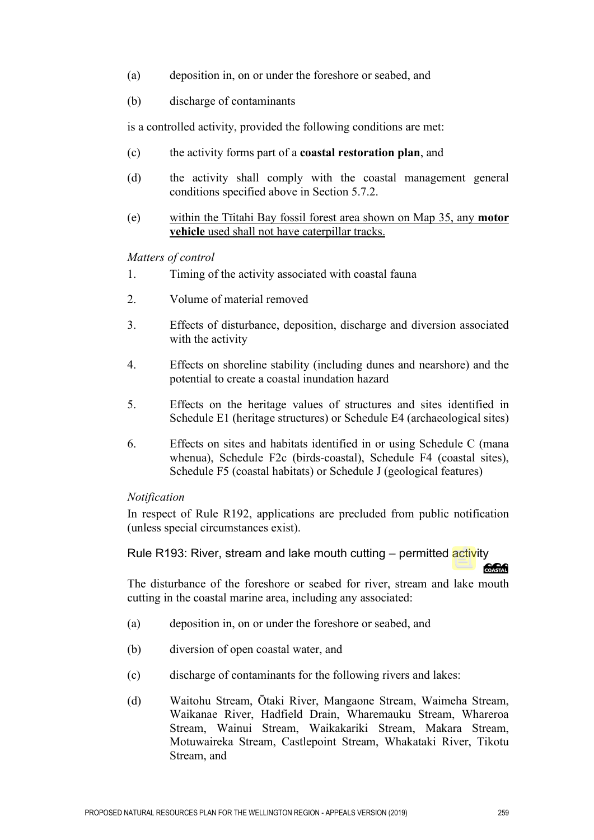- (a) deposition in, on or under the foreshore or seabed, and
- (b) discharge of contaminants

is a controlled activity, provided the following conditions are met:

- (c) the activity forms part of a **coastal restoration plan**, and
- (d) the activity shall comply with the coastal management general conditions specified above in Section 5.7.2.
- (e) within the Tīitahi Bay fossil forest area shown on Map 35, any **motor vehicle** used shall not have caterpillar tracks.

#### *Matters of control*

- 1. Timing of the activity associated with coastal fauna
- 2. Volume of material removed
- 3. Effects of disturbance, deposition, discharge and diversion associated with the activity
- 4. Effects on shoreline stability (including dunes and nearshore) and the potential to create a coastal inundation hazard
- 5. Effects on the heritage values of structures and sites identified in Schedule E1 (heritage structures) or Schedule E4 (archaeological sites)
- 6. Effects on sites and habitats identified in or using Schedule C (mana whenua), Schedule F2c (birds-coastal), Schedule F4 (coastal sites), Schedule F5 (coastal habitats) or Schedule J (geological features)

#### *Notification*

In respect of Rule R192, applications are precluded from public notification (unless special circumstances exist).

Rule R193: River, stream and lake mouth cutting – permitted activity

**COASTAL** 

The disturbance of the foreshore or seabed for river, stream and lake mouth cutting in the coastal marine area, including any associated:

- (a) deposition in, on or under the foreshore or seabed, and
- (b) diversion of open coastal water, and
- (c) discharge of contaminants for the following rivers and lakes:
- (d) Waitohu Stream, Ōtaki River, Mangaone Stream, Waimeha Stream, Waikanae River, Hadfield Drain, Wharemauku Stream, Whareroa Stream, Wainui Stream, Waikakariki Stream, Makara Stream, Motuwaireka Stream, Castlepoint Stream, Whakataki River, Tikotu Stream, and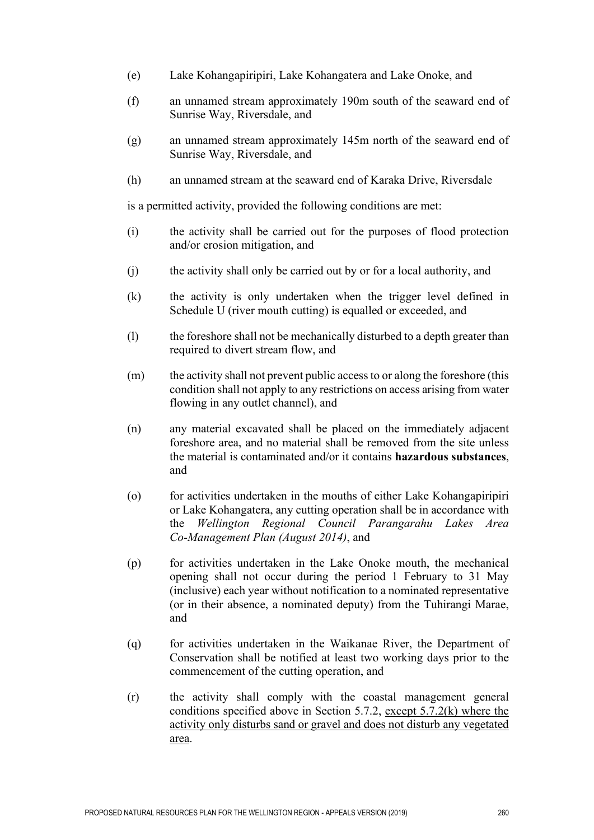- (e) Lake Kohangapiripiri, Lake Kohangatera and Lake Onoke, and
- (f) an unnamed stream approximately 190m south of the seaward end of Sunrise Way, Riversdale, and
- (g) an unnamed stream approximately 145m north of the seaward end of Sunrise Way, Riversdale, and
- (h) an unnamed stream at the seaward end of Karaka Drive, Riversdale

is a permitted activity, provided the following conditions are met:

- (i) the activity shall be carried out for the purposes of flood protection and/or erosion mitigation, and
- (j) the activity shall only be carried out by or for a local authority, and
- (k) the activity is only undertaken when the trigger level defined in Schedule U (river mouth cutting) is equalled or exceeded, and
- (l) the foreshore shall not be mechanically disturbed to a depth greater than required to divert stream flow, and
- (m) the activity shall not prevent public access to or along the foreshore (this condition shall not apply to any restrictions on access arising from water flowing in any outlet channel), and
- (n) any material excavated shall be placed on the immediately adjacent foreshore area, and no material shall be removed from the site unless the material is contaminated and/or it contains **hazardous substances**, and
- (o) for activities undertaken in the mouths of either Lake Kohangapiripiri or Lake Kohangatera, any cutting operation shall be in accordance with the *Wellington Regional Council Parangarahu Lakes Area Co-Management Plan (August 2014)*, and
- (p) for activities undertaken in the Lake Onoke mouth, the mechanical opening shall not occur during the period 1 February to 31 May (inclusive) each year without notification to a nominated representative (or in their absence, a nominated deputy) from the Tuhirangi Marae, and
- (q) for activities undertaken in the Waikanae River, the Department of Conservation shall be notified at least two working days prior to the commencement of the cutting operation, and
- (r) the activity shall comply with the coastal management general conditions specified above in Section 5.7.2, except  $5.7.2(k)$  where the activity only disturbs sand or gravel and does not disturb any vegetated area.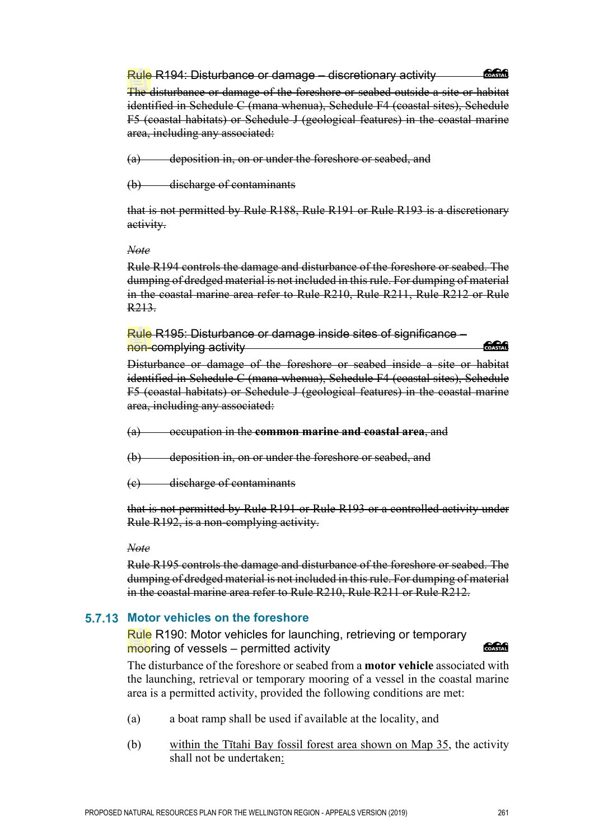#### Rule R194: Disturbance or damage – discretionary activity

#### COASTAL

The disturbance or damage of the foreshore or seabed outside a site or habitat identified in Schedule C (mana whenua), Schedule F4 (coastal sites), Schedule F5 (coastal habitats) or Schedule J (geological features) in the coastal marine area, including any associated:

(a) deposition in, on or under the foreshore or seabed, and

(b) discharge of contaminants

that is not permitted by Rule R188, Rule R191 or Rule R193 is a discretionary activity.

#### *Note*

Rule R194 controls the damage and disturbance of the foreshore or seabed. The dumping of dredged material is not included in this rule. For dumping of material in the coastal marine area refer to Rule R210, Rule R211, Rule R212 or Rule R213.

Rule R195: Disturbance or damage inside sites of significance – non-complying activity

*<u> 2000 - 2000 - 2000 - 2000 - 2000 - 2000 - 2000 - 2000 - 2000 - 2000 - 2000 - 2000 - 2000 - 2000 - 2000 - 2000 - 2000 - 2000 - 2000 - 2000 - 2000 - 2000 - 2000 - 2000 - 2000 - 2000 - 2000 - 2000 - 2000 - 2000 - 2000 - 2*</u>

Disturbance or damage of the foreshore or seabed inside a site or habitat identified in Schedule C (mana whenua), Schedule F4 (coastal sites), Schedule F5 (coastal habitats) or Schedule J (geological features) in the coastal marine area, including any associated:

(a) occupation in the **common marine and coastal area**, and

(b) deposition in, on or under the foreshore or seabed, and

(c) discharge of contaminants

that is not permitted by Rule R191 or Rule R193 or a controlled activity under Rule R192, is a non-complying activity.

*Note* 

Rule R195 controls the damage and disturbance of the foreshore or seabed. The dumping of dredged material is not included in this rule. For dumping of material in the coastal marine area refer to Rule R210, Rule R211 or Rule R212.

## **5.7.13 Motor vehicles on the foreshore**

Rule R190: Motor vehicles for launching, retrieving or temporary mooring of vessels – permitted activity

**Concrete** 

The disturbance of the foreshore or seabed from a **motor vehicle** associated with the launching, retrieval or temporary mooring of a vessel in the coastal marine area is a permitted activity, provided the following conditions are met:

- (a) a boat ramp shall be used if available at the locality, and
- (b) within the Tītahi Bay fossil forest area shown on Map 35, the activity shall not be undertaken: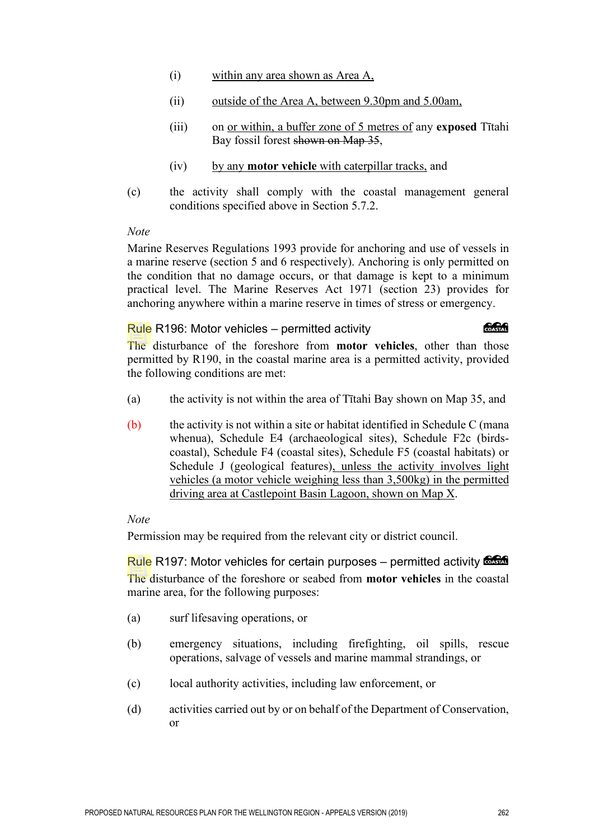- (i) within any area shown as Area A,
- (ii) outside of the Area A, between 9.30pm and 5.00am,
- (iii) on or within, a buffer zone of 5 metres of any **exposed** Tītahi Bay fossil forest shown on Map 35,
- (iv) by any **motor vehicle** with caterpillar tracks, and
- (c) the activity shall comply with the coastal management general conditions specified above in Section 5.7.2.

#### *Note*

Marine Reserves Regulations 1993 provide for anchoring and use of vessels in a marine reserve (section 5 and 6 respectively). Anchoring is only permitted on the condition that no damage occurs, or that damage is kept to a minimum practical level. The Marine Reserves Act 1971 (section 23) provides for anchoring anywhere within a marine reserve in times of stress or emergency.

#### Rule R196: Motor vehicles – permitted activity

The disturbance of the foreshore from **motor vehicles**, other than those permitted by R190, in the coastal marine area is a permitted activity, provided the following conditions are met:

- (a) the activity is not within the area of Tītahi Bay shown on Map 35, and
- (b) the activity is not within a site or habitat identified in Schedule C (mana whenua), Schedule E4 (archaeological sites), Schedule F2c (birdscoastal), Schedule F4 (coastal sites), Schedule F5 (coastal habitats) or Schedule J (geological features), unless the activity involves light vehicles (a motor vehicle weighing less than 3,500kg) in the permitted driving area at Castlepoint Basin Lagoon, shown on Map X.

#### *Note*

Permission may be required from the relevant city or district council.

Rule R197: Motor vehicles for certain purposes – permitted activity  $\frac{6.666}{6.066}$ The disturbance of the foreshore or seabed from **motor vehicles** in the coastal marine area, for the following purposes:

- (a) surf lifesaving operations, or
- (b) emergency situations, including firefighting, oil spills, rescue operations, salvage of vessels and marine mammal strandings, or
- (c) local authority activities, including law enforcement, or
- (d) activities carried out by or on behalf of the Department of Conservation, or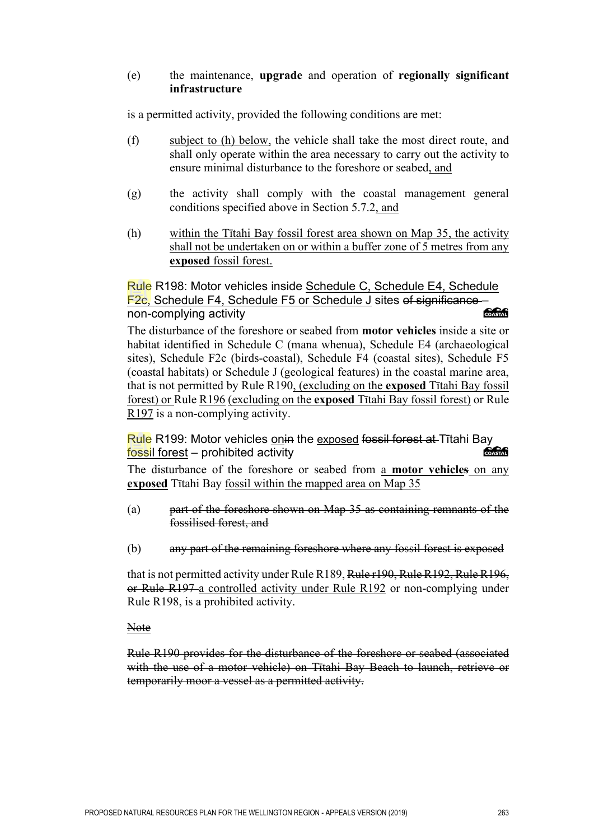#### (e) the maintenance, **upgrade** and operation of **regionally significant infrastructure**

is a permitted activity, provided the following conditions are met:

- (f) subject to (h) below, the vehicle shall take the most direct route, and shall only operate within the area necessary to carry out the activity to ensure minimal disturbance to the foreshore or seabed, and
- (g) the activity shall comply with the coastal management general conditions specified above in Section 5.7.2, and
- (h) within the Tītahi Bay fossil forest area shown on Map 35, the activity shall not be undertaken on or within a buffer zone of 5 metres from any **exposed** fossil forest.

#### Rule R198: Motor vehicles inside Schedule C, Schedule E4, Schedule F2c, Schedule F4, Schedule F5 or Schedule J sites of significance non-complying activity COASTAL

The disturbance of the foreshore or seabed from **motor vehicles** inside a site or habitat identified in Schedule C (mana whenua), Schedule E4 (archaeological sites), Schedule F2c (birds-coastal), Schedule F4 (coastal sites), Schedule F5 (coastal habitats) or Schedule J (geological features) in the coastal marine area, that is not permitted by Rule R190, (excluding on the **exposed** Tītahi Bay fossil forest) or Rule R196 (excluding on the **exposed** Tītahi Bay fossil forest) or Rule R197 is a non-complying activity.

## Rule R199: Motor vehicles <u>on</u>in the <u>exposed</u> fossil forest at Tītahi Bay<br>fossil forest – probibited activity fossil forest – prohibited activity

The disturbance of the foreshore or seabed from a **motor vehicles** on any **exposed** Tītahi Bay fossil within the mapped area on Map 35

- (a) part of the foreshore shown on Map 35 as containing remnants of the fossilised forest, and
- (b) any part of the remaining foreshore where any fossil forest is exposed

that is not permitted activity under Rule R189, Rule r190, Rule R192, Rule R196, or Rule R197 a controlled activity under Rule R192 or non-complying under Rule R198, is a prohibited activity.

Note

Rule R190 provides for the disturbance of the foreshore or seabed (associated with the use of a motor vehicle) on Tītahi Bay Beach to launch, retrieve or temporarily moor a vessel as a permitted activity.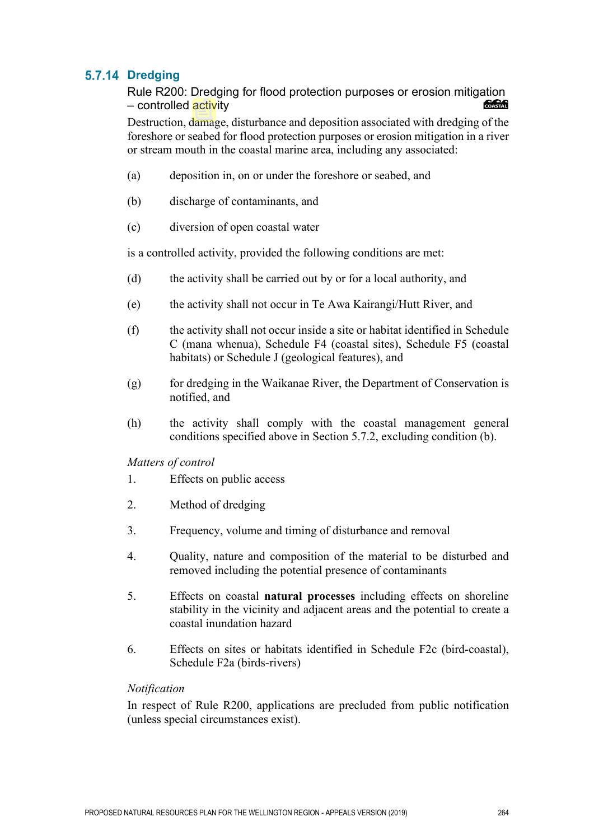## 5.7.14 Dredging

Rule R200: Dredging for flood protection purposes or erosion mitigation – controlled activity

Destruction, damage, disturbance and deposition associated with dredging of the foreshore or seabed for flood protection purposes or erosion mitigation in a river or stream mouth in the coastal marine area, including any associated:

- (a) deposition in, on or under the foreshore or seabed, and
- (b) discharge of contaminants, and
- (c) diversion of open coastal water

is a controlled activity, provided the following conditions are met:

- (d) the activity shall be carried out by or for a local authority, and
- (e) the activity shall not occur in Te Awa Kairangi/Hutt River, and
- (f) the activity shall not occur inside a site or habitat identified in Schedule C (mana whenua), Schedule F4 (coastal sites), Schedule F5 (coastal habitats) or Schedule J (geological features), and
- (g) for dredging in the Waikanae River, the Department of Conservation is notified, and
- (h) the activity shall comply with the coastal management general conditions specified above in Section 5.7.2, excluding condition (b).
- *Matters of control*
- 1. Effects on public access
- 2. Method of dredging
- 3. Frequency, volume and timing of disturbance and removal
- 4. Quality, nature and composition of the material to be disturbed and removed including the potential presence of contaminants
- 5. Effects on coastal **natural processes** including effects on shoreline stability in the vicinity and adjacent areas and the potential to create a coastal inundation hazard
- 6. Effects on sites or habitats identified in Schedule F2c (bird-coastal), Schedule F2a (birds-rivers)

#### *Notification*

In respect of Rule R200, applications are precluded from public notification (unless special circumstances exist).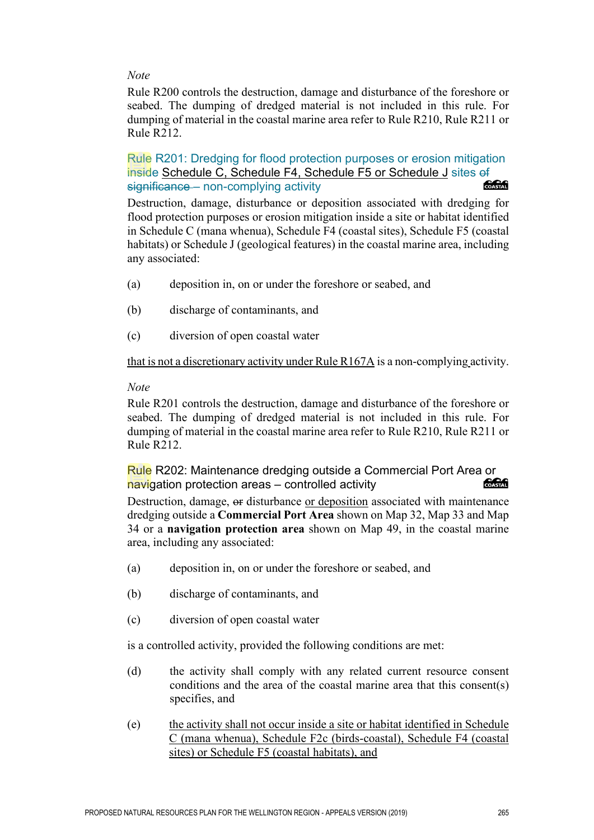#### *Note*

Rule R200 controls the destruction, damage and disturbance of the foreshore or seabed. The dumping of dredged material is not included in this rule. For dumping of material in the coastal marine area refer to Rule R210, Rule R211 or Rule R212.

Rule R201: Dredging for flood protection purposes or erosion mitigation inside Schedule C, Schedule F4, Schedule F5 or Schedule J sites of<br>significance – non-complying activity significance – non-complying activity

Destruction, damage, disturbance or deposition associated with dredging for flood protection purposes or erosion mitigation inside a site or habitat identified in Schedule C (mana whenua), Schedule F4 (coastal sites), Schedule F5 (coastal habitats) or Schedule J (geological features) in the coastal marine area, including any associated:

- (a) deposition in, on or under the foreshore or seabed, and
- (b) discharge of contaminants, and
- (c) diversion of open coastal water

that is not a discretionary activity under Rule R167A is a non-complying activity.

#### *Note*

Rule R201 controls the destruction, damage and disturbance of the foreshore or seabed. The dumping of dredged material is not included in this rule. For dumping of material in the coastal marine area refer to Rule R210, Rule R211 or Rule R212.

Rule R202: Maintenance dredging outside a Commercial Port Area or<br>navigation protection areas – controlled activity navigation protection areas – controlled activity

Destruction, damage, or disturbance or deposition associated with maintenance dredging outside a **Commercial Port Area** shown on Map 32, Map 33 and Map 34 or a **navigation protection area** shown on Map 49, in the coastal marine area, including any associated:

- (a) deposition in, on or under the foreshore or seabed, and
- (b) discharge of contaminants, and
- (c) diversion of open coastal water

is a controlled activity, provided the following conditions are met:

- (d) the activity shall comply with any related current resource consent conditions and the area of the coastal marine area that this consent(s) specifies, and
- (e) the activity shall not occur inside a site or habitat identified in Schedule C (mana whenua), Schedule F2c (birds-coastal), Schedule F4 (coastal sites) or Schedule F5 (coastal habitats), and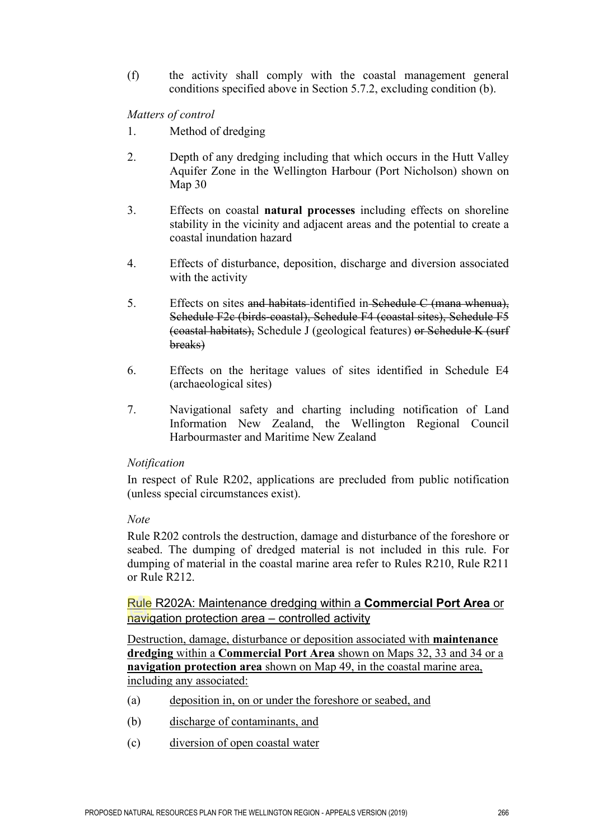(f) the activity shall comply with the coastal management general conditions specified above in Section 5.7.2, excluding condition (b).

*Matters of control* 

- 1. Method of dredging
- 2. Depth of any dredging including that which occurs in the Hutt Valley Aquifer Zone in the Wellington Harbour (Port Nicholson) shown on Map 30
- 3. Effects on coastal **natural processes** including effects on shoreline stability in the vicinity and adjacent areas and the potential to create a coastal inundation hazard
- 4. Effects of disturbance, deposition, discharge and diversion associated with the activity
- 5. Effects on sites and habitats identified in Schedule C (mana whenua), Schedule F2c (birds-coastal), Schedule F4 (coastal sites), Schedule F5 (coastal habitats), Schedule J (geological features) or Schedule K (surf breaks)
- 6. Effects on the heritage values of sites identified in Schedule E4 (archaeological sites)
- 7. Navigational safety and charting including notification of Land Information New Zealand, the Wellington Regional Council Harbourmaster and Maritime New Zealand

#### *Notification*

In respect of Rule R202, applications are precluded from public notification (unless special circumstances exist).

#### *Note*

Rule R202 controls the destruction, damage and disturbance of the foreshore or seabed. The dumping of dredged material is not included in this rule. For dumping of material in the coastal marine area refer to Rules R210, Rule R211 or Rule R212.

Rule R202A: Maintenance dredging within a **Commercial Port Area** or navigation protection area – controlled activity

Destruction, damage, disturbance or deposition associated with **maintenance dredging** within a **Commercial Port Area** shown on Maps 32, 33 and 34 or a **navigation protection area** shown on Map 49, in the coastal marine area, including any associated:

- (a) deposition in, on or under the foreshore or seabed, and
- (b) discharge of contaminants, and
- (c) diversion of open coastal water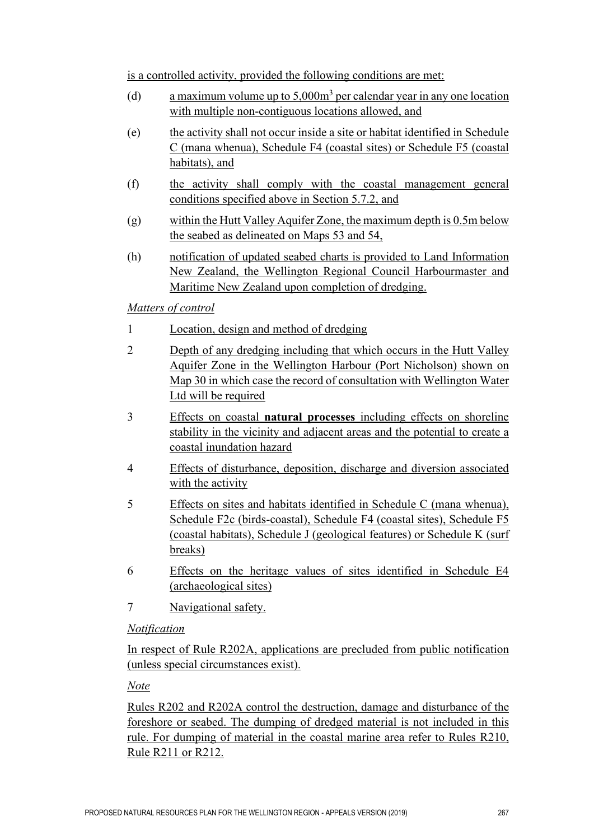is a controlled activity, provided the following conditions are met:

- (d) a maximum volume up to  $5,000m<sup>3</sup>$  per calendar year in any one location with multiple non-contiguous locations allowed, and
- (e) the activity shall not occur inside a site or habitat identified in Schedule C (mana whenua), Schedule F4 (coastal sites) or Schedule F5 (coastal habitats), and
- (f) the activity shall comply with the coastal management general conditions specified above in Section 5.7.2, and
- (g) within the Hutt Valley Aquifer Zone, the maximum depth is 0.5m below the seabed as delineated on Maps 53 and 54,
- (h) notification of updated seabed charts is provided to Land Information New Zealand, the Wellington Regional Council Harbourmaster and Maritime New Zealand upon completion of dredging.

## *Matters of control*

- 1 Location, design and method of dredging
- 2 Depth of any dredging including that which occurs in the Hutt Valley Aquifer Zone in the Wellington Harbour (Port Nicholson) shown on Map 30 in which case the record of consultation with Wellington Water Ltd will be required
- 3 Effects on coastal **natural processes** including effects on shoreline stability in the vicinity and adjacent areas and the potential to create a coastal inundation hazard
- 4 Effects of disturbance, deposition, discharge and diversion associated with the activity
- 5 Effects on sites and habitats identified in Schedule C (mana whenua), Schedule F2c (birds-coastal), Schedule F4 (coastal sites), Schedule F5 (coastal habitats), Schedule J (geological features) or Schedule K (surf breaks)
- 6 Effects on the heritage values of sites identified in Schedule E4 (archaeological sites)
- 7 Navigational safety.

## *Notification*

In respect of Rule R202A, applications are precluded from public notification (unless special circumstances exist).

*Note* 

Rules R202 and R202A control the destruction, damage and disturbance of the foreshore or seabed. The dumping of dredged material is not included in this rule. For dumping of material in the coastal marine area refer to Rules R210, Rule R211 or R212.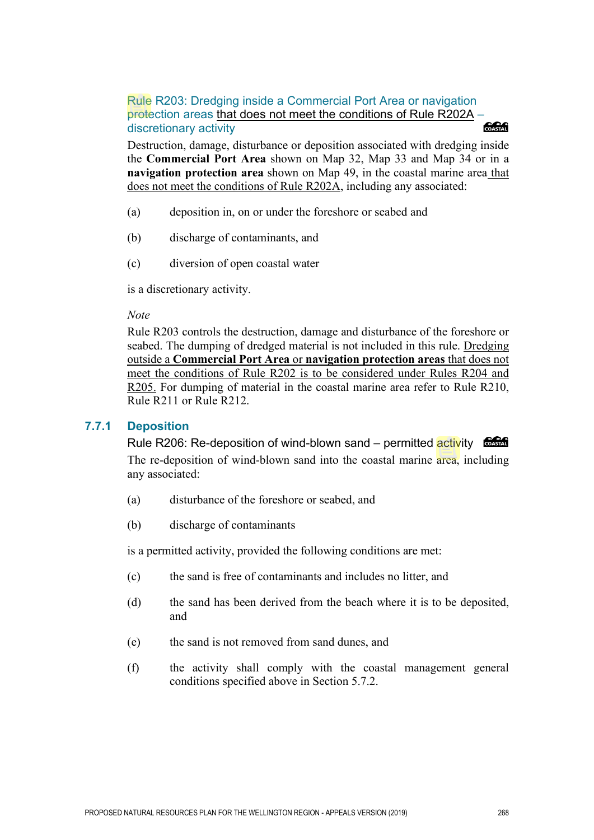## Rule R203: Dredging inside a Commercial Port Area or navigation protection areas that does not meet the conditions of Rule R202A – discretionary activity discretionary activity

Destruction, damage, disturbance or deposition associated with dredging inside the **Commercial Port Area** shown on Map 32, Map 33 and Map 34 or in a **navigation protection area** shown on Map 49, in the coastal marine area that does not meet the conditions of Rule R202A, including any associated:

- (a) deposition in, on or under the foreshore or seabed and
- (b) discharge of contaminants, and
- (c) diversion of open coastal water

is a discretionary activity.

*Note* 

Rule R203 controls the destruction, damage and disturbance of the foreshore or seabed. The dumping of dredged material is not included in this rule. Dredging outside a **Commercial Port Area** or **navigation protection areas** that does not meet the conditions of Rule R202 is to be considered under Rules R204 and R205. For dumping of material in the coastal marine area refer to Rule R210, Rule R211 or Rule R212.

#### **7.7.1 Deposition**

Rule R206: Re-deposition of wind-blown sand – permitted activity The re-deposition of wind-blown sand into the coastal marine area, including any associated:

- (a) disturbance of the foreshore or seabed, and
- (b) discharge of contaminants

is a permitted activity, provided the following conditions are met:

- (c) the sand is free of contaminants and includes no litter, and
- (d) the sand has been derived from the beach where it is to be deposited, and
- (e) the sand is not removed from sand dunes, and
- (f) the activity shall comply with the coastal management general conditions specified above in Section 5.7.2.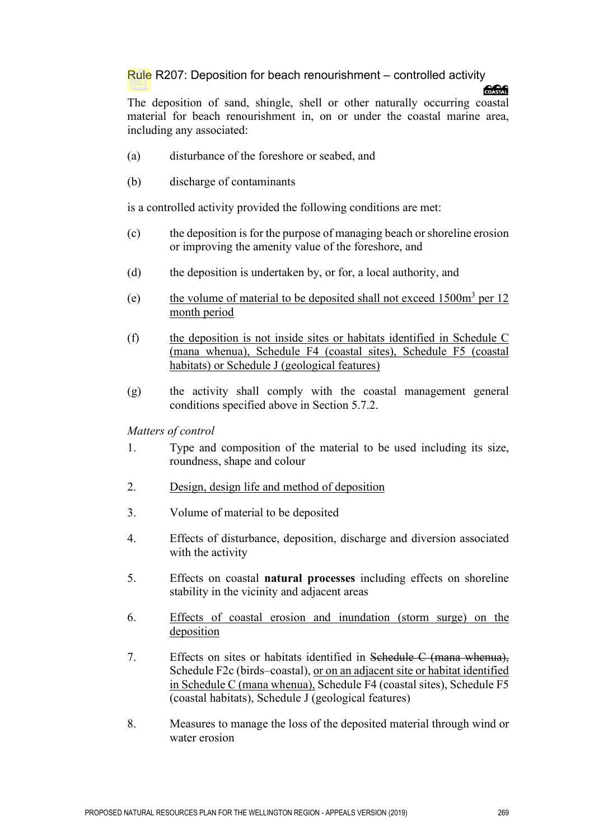#### Rule R207: Deposition for beach renourishment – controlled activity

#### **SSSS**

The deposition of sand, shingle, shell or other naturally occurring coastal material for beach renourishment in, on or under the coastal marine area, including any associated:

- (a) disturbance of the foreshore or seabed, and
- (b) discharge of contaminants

is a controlled activity provided the following conditions are met:

- (c) the deposition is for the purpose of managing beach or shoreline erosion or improving the amenity value of the foreshore, and
- (d) the deposition is undertaken by, or for, a local authority, and
- (e) the volume of material to be deposited shall not exceed  $1500m<sup>3</sup>$  per 12 month period
- (f) the deposition is not inside sites or habitats identified in Schedule C (mana whenua), Schedule F4 (coastal sites), Schedule F5 (coastal habitats) or Schedule J (geological features)
- (g) the activity shall comply with the coastal management general conditions specified above in Section 5.7.2.

*Matters of control* 

- 1. Type and composition of the material to be used including its size, roundness, shape and colour
- 2. Design, design life and method of deposition
- 3. Volume of material to be deposited
- 4. Effects of disturbance, deposition, discharge and diversion associated with the activity
- 5. Effects on coastal **natural processes** including effects on shoreline stability in the vicinity and adjacent areas
- 6. Effects of coastal erosion and inundation (storm surge) on the deposition
- 7. Effects on sites or habitats identified in Schedule C (mana whenua), Schedule F2c (birds–coastal), or on an adjacent site or habitat identified in Schedule C (mana whenua), Schedule F4 (coastal sites), Schedule F5 (coastal habitats), Schedule J (geological features)
- 8. Measures to manage the loss of the deposited material through wind or water erosion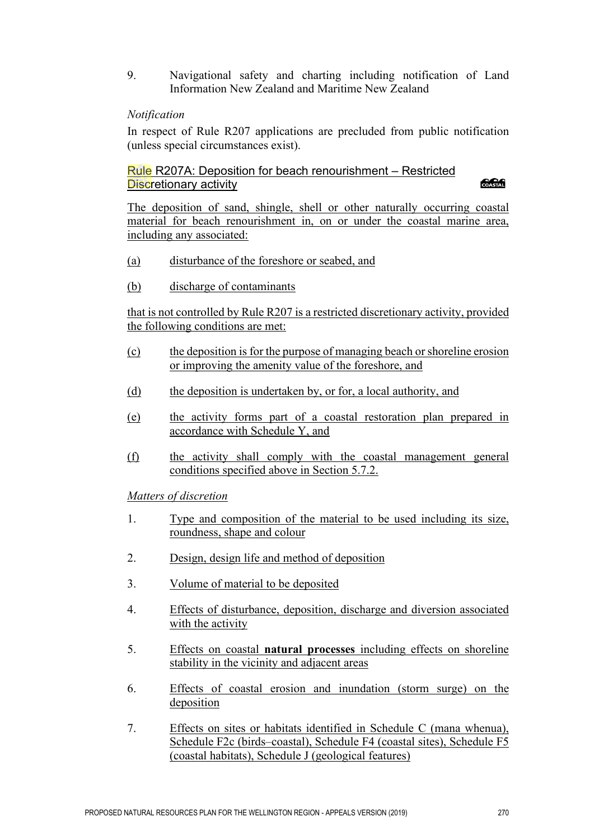9. Navigational safety and charting including notification of Land Information New Zealand and Maritime New Zealand

#### *Notification*

In respect of Rule R207 applications are precluded from public notification (unless special circumstances exist).

#### Rule R207A: Deposition for beach renourishment – Restricted Discretionary activity

COASTAL

The deposition of sand, shingle, shell or other naturally occurring coastal material for beach renourishment in, on or under the coastal marine area, including any associated:

- (a) disturbance of the foreshore or seabed, and
- (b) discharge of contaminants

that is not controlled by Rule R207 is a restricted discretionary activity, provided the following conditions are met:

- (c) the deposition is for the purpose of managing beach or shoreline erosion or improving the amenity value of the foreshore, and
- (d) the deposition is undertaken by, or for, a local authority, and
- (e) the activity forms part of a coastal restoration plan prepared in accordance with Schedule Y, and
- (f) the activity shall comply with the coastal management general conditions specified above in Section 5.7.2.

*Matters of discretion*

- 1. Type and composition of the material to be used including its size, roundness, shape and colour
- 2. Design, design life and method of deposition
- 3. Volume of material to be deposited
- 4. Effects of disturbance, deposition, discharge and diversion associated with the activity
- 5. Effects on coastal **natural processes** including effects on shoreline stability in the vicinity and adjacent areas
- 6. Effects of coastal erosion and inundation (storm surge) on the deposition
- 7. Effects on sites or habitats identified in Schedule C (mana whenua), Schedule F2c (birds–coastal), Schedule F4 (coastal sites), Schedule F5 (coastal habitats), Schedule J (geological features)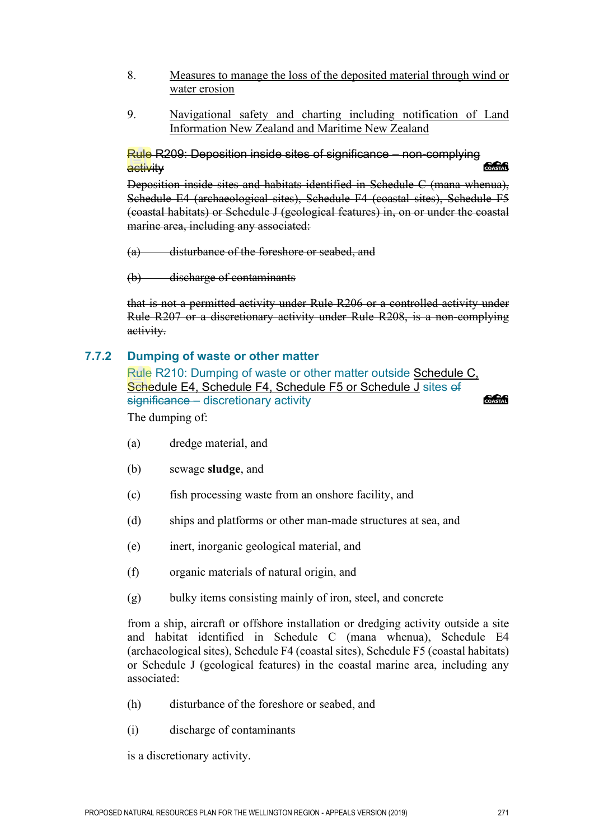- 8. Measures to manage the loss of the deposited material through wind or water erosion
- 9. Navigational safety and charting including notification of Land Information New Zealand and Maritime New Zealand

Rule R209: Deposition inside sites of significance – non-complying activity

Deposition inside sites and habitats identified in Schedule C (mana whenua), Schedule E4 (archaeological sites), Schedule F4 (coastal sites), Schedule F5 (coastal habitats) or Schedule J (geological features) in, on or under the coastal marine area, including any associated:

(a) disturbance of the foreshore or seabed, and

(b) discharge of contaminants

that is not a permitted activity under Rule R206 or a controlled activity under Rule R207 or a discretionary activity under Rule R208, is a non-complying activity.

#### **7.7.2 Dumping of waste or other matter**

Rule R210: Dumping of waste or other matter outside Schedule C, Schedule E4, Schedule F4, Schedule F5 or Schedule J sites of significance – discretionary activity COASTAL The dumping of:

- (a) dredge material, and
- (b) sewage **sludge**, and
- (c) fish processing waste from an onshore facility, and
- (d) ships and platforms or other man-made structures at sea, and
- (e) inert, inorganic geological material, and
- (f) organic materials of natural origin, and
- (g) bulky items consisting mainly of iron, steel, and concrete

from a ship, aircraft or offshore installation or dredging activity outside a site and habitat identified in Schedule C (mana whenua), Schedule E4 (archaeological sites), Schedule F4 (coastal sites), Schedule F5 (coastal habitats) or Schedule J (geological features) in the coastal marine area, including any associated:

- (h) disturbance of the foreshore or seabed, and
- (i) discharge of contaminants

is a discretionary activity.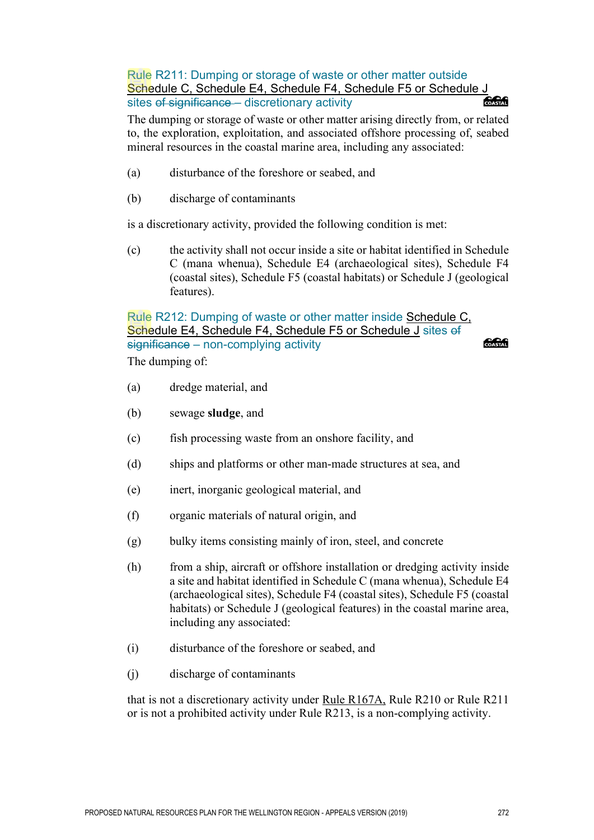Rule R211: Dumping or storage of waste or other matter outside Schedule C, Schedule E4, Schedule F4, Schedule F5 or Schedule J sites of significance - discretionary activity **CACA** 

The dumping or storage of waste or other matter arising directly from, or related to, the exploration, exploitation, and associated offshore processing of, seabed mineral resources in the coastal marine area, including any associated:

- (a) disturbance of the foreshore or seabed, and
- (b) discharge of contaminants

is a discretionary activity, provided the following condition is met:

(c) the activity shall not occur inside a site or habitat identified in Schedule C (mana whenua), Schedule E4 (archaeological sites), Schedule F4 (coastal sites), Schedule F5 (coastal habitats) or Schedule J (geological features).

Rule R212: Dumping of waste or other matter inside Schedule C, Schedule E4, Schedule F4, Schedule F5 or Schedule J sites of significance – non-complying activity The dumping of:

*<u> SSSSS</u>* 

- (a) dredge material, and
- (b) sewage **sludge**, and
- (c) fish processing waste from an onshore facility, and
- (d) ships and platforms or other man-made structures at sea, and
- (e) inert, inorganic geological material, and
- (f) organic materials of natural origin, and
- (g) bulky items consisting mainly of iron, steel, and concrete
- (h) from a ship, aircraft or offshore installation or dredging activity inside a site and habitat identified in Schedule C (mana whenua), Schedule E4 (archaeological sites), Schedule F4 (coastal sites), Schedule F5 (coastal habitats) or Schedule J (geological features) in the coastal marine area, including any associated:
- (i) disturbance of the foreshore or seabed, and
- (j) discharge of contaminants

that is not a discretionary activity under Rule R167A, Rule R210 or Rule R211 or is not a prohibited activity under Rule R213, is a non-complying activity.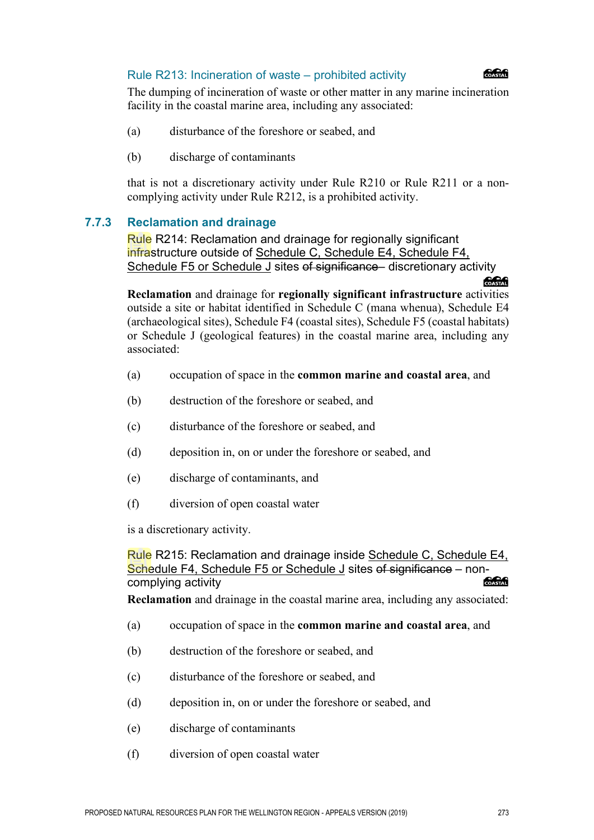#### Rule R213: Incineration of waste – prohibited activity



**SAGAR** 

The dumping of incineration of waste or other matter in any marine incineration facility in the coastal marine area, including any associated:

- (a) disturbance of the foreshore or seabed, and
- (b) discharge of contaminants

that is not a discretionary activity under Rule R210 or Rule R211 or a noncomplying activity under Rule R212, is a prohibited activity.

#### **7.7.3 Reclamation and drainage**

Rule R214: Reclamation and drainage for regionally significant infrastructure outside of Schedule C, Schedule E4, Schedule F4, Schedule F5 or Schedule J sites of significance– discretionary activity

**Reclamation** and drainage for **regionally significant infrastructure** activities outside a site or habitat identified in Schedule C (mana whenua), Schedule E4 (archaeological sites), Schedule F4 (coastal sites), Schedule F5 (coastal habitats) or Schedule J (geological features) in the coastal marine area, including any associated:

- (a) occupation of space in the **common marine and coastal area**, and
- (b) destruction of the foreshore or seabed, and
- (c) disturbance of the foreshore or seabed, and
- (d) deposition in, on or under the foreshore or seabed, and
- (e) discharge of contaminants, and
- (f) diversion of open coastal water

is a discretionary activity.

Rule R215: Reclamation and drainage inside Schedule C, Schedule E4, Schedule F4, Schedule F5 or Schedule J sites of significance – noncomplying activity COASTAL

**Reclamation** and drainage in the coastal marine area, including any associated:

- (a) occupation of space in the **common marine and coastal area**, and
- (b) destruction of the foreshore or seabed, and
- (c) disturbance of the foreshore or seabed, and
- (d) deposition in, on or under the foreshore or seabed, and
- (e) discharge of contaminants
- (f) diversion of open coastal water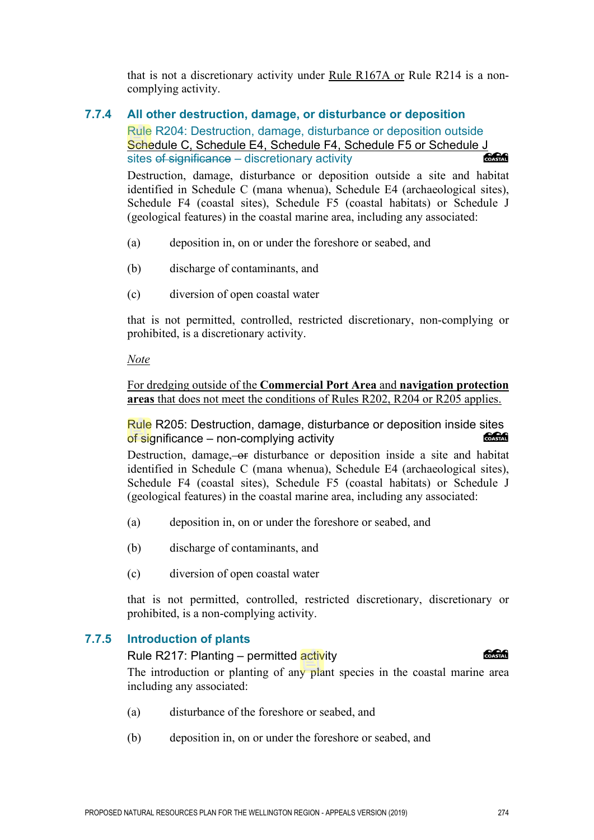that is not a discretionary activity under Rule R167A or Rule R214 is a noncomplying activity.

## **7.7.4 All other destruction, damage, or disturbance or deposition**

Rule R204: Destruction, damage, disturbance or deposition outside Schedule C, Schedule E4, Schedule F4, Schedule F5 or Schedule J<br>sites of significance – discretionary activity sites of significance – discretionary activity

Destruction, damage, disturbance or deposition outside a site and habitat identified in Schedule C (mana whenua), Schedule E4 (archaeological sites), Schedule F4 (coastal sites), Schedule F5 (coastal habitats) or Schedule J (geological features) in the coastal marine area, including any associated:

- (a) deposition in, on or under the foreshore or seabed, and
- (b) discharge of contaminants, and
- (c) diversion of open coastal water

that is not permitted, controlled, restricted discretionary, non-complying or prohibited, is a discretionary activity.

#### *Note*

For dredging outside of the **Commercial Port Area** and **navigation protection areas** that does not meet the conditions of Rules R202, R204 or R205 applies.

Rule R205: Destruction, damage, disturbance or deposition inside sites of significance – non-complying activity of significance – non-complying activity

Destruction, damage, or disturbance or deposition inside a site and habitat identified in Schedule C (mana whenua), Schedule E4 (archaeological sites), Schedule F4 (coastal sites), Schedule F5 (coastal habitats) or Schedule J (geological features) in the coastal marine area, including any associated:

- (a) deposition in, on or under the foreshore or seabed, and
- (b) discharge of contaminants, and
- (c) diversion of open coastal water

that is not permitted, controlled, restricted discretionary, discretionary or prohibited, is a non-complying activity.

## **7.7.5 Introduction of plants**

**CACA** Rule R217: Planting – permitted activity The introduction or planting of any plant species in the coastal marine area including any associated:

- (a) disturbance of the foreshore or seabed, and
- (b) deposition in, on or under the foreshore or seabed, and